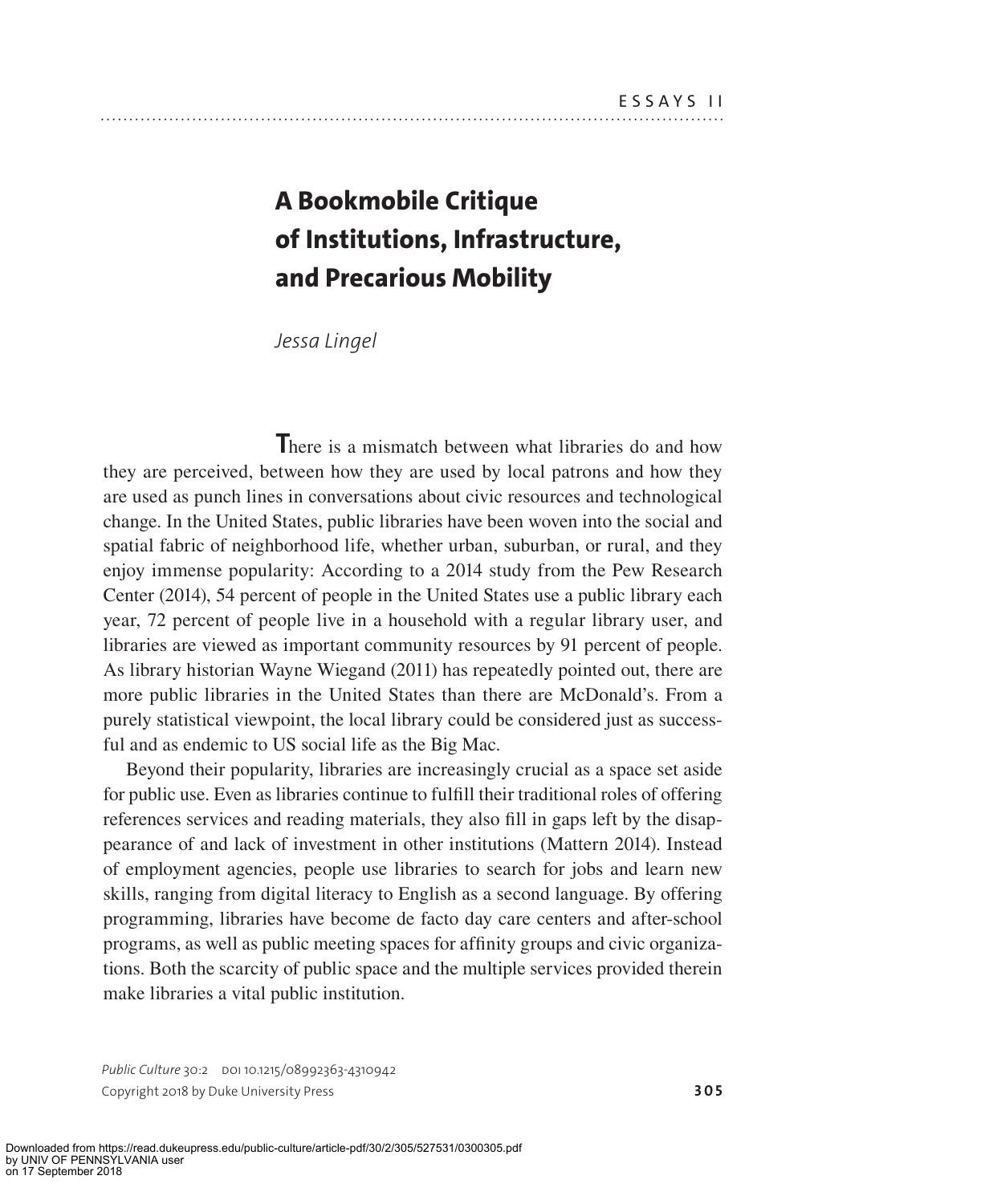# **A Bookmobile Critique of Institutions, Infrastructure, and Precarious Mobility**

*Jessa Lingel*

**T**here is a mismatch between what libraries do and how they are perceived, between how they are used by local patrons and how they are used as punch lines in conversations about civic resources and technological change. In the United States, public libraries have been woven into the social and spatial fabric of neighborhood life, whether urban, suburban, or rural, and they enjoy immense popularity: According to a 2014 study from the Pew Research Center (2014), 54 percent of people in the United States use a public library each year, 72 percent of people live in a household with a regular library user, and libraries are viewed as important community resources by 91 percent of people. As library historian Wayne Wiegand (2011) has repeatedly pointed out, there are more public libraries in the United States than there are McDonald's. From a purely statistical viewpoint, the local library could be considered just as successful and as endemic to US social life as the Big Mac.

Beyond their popularity, libraries are increasingly crucial as a space set aside for public use. Even as libraries continue to fulll their traditional roles of offering references services and reading materials, they also fill in gaps left by the disappearance of and lack of investment in other institutions (Mattern 2014). Instead of employment agencies, people use libraries to search for jobs and learn new skills, ranging from digital literacy to English as a second language. By offering programming, libraries have become de facto day care centers and after-school programs, as well as public meeting spaces for affinity groups and civic organizations. Both the scarcity of public space and the multiple services provided therein make libraries a vital public institution.

*Public Culture* 30:2 DOI 10.1215/08992363-4310942 Copyright 2018 by Duke University Press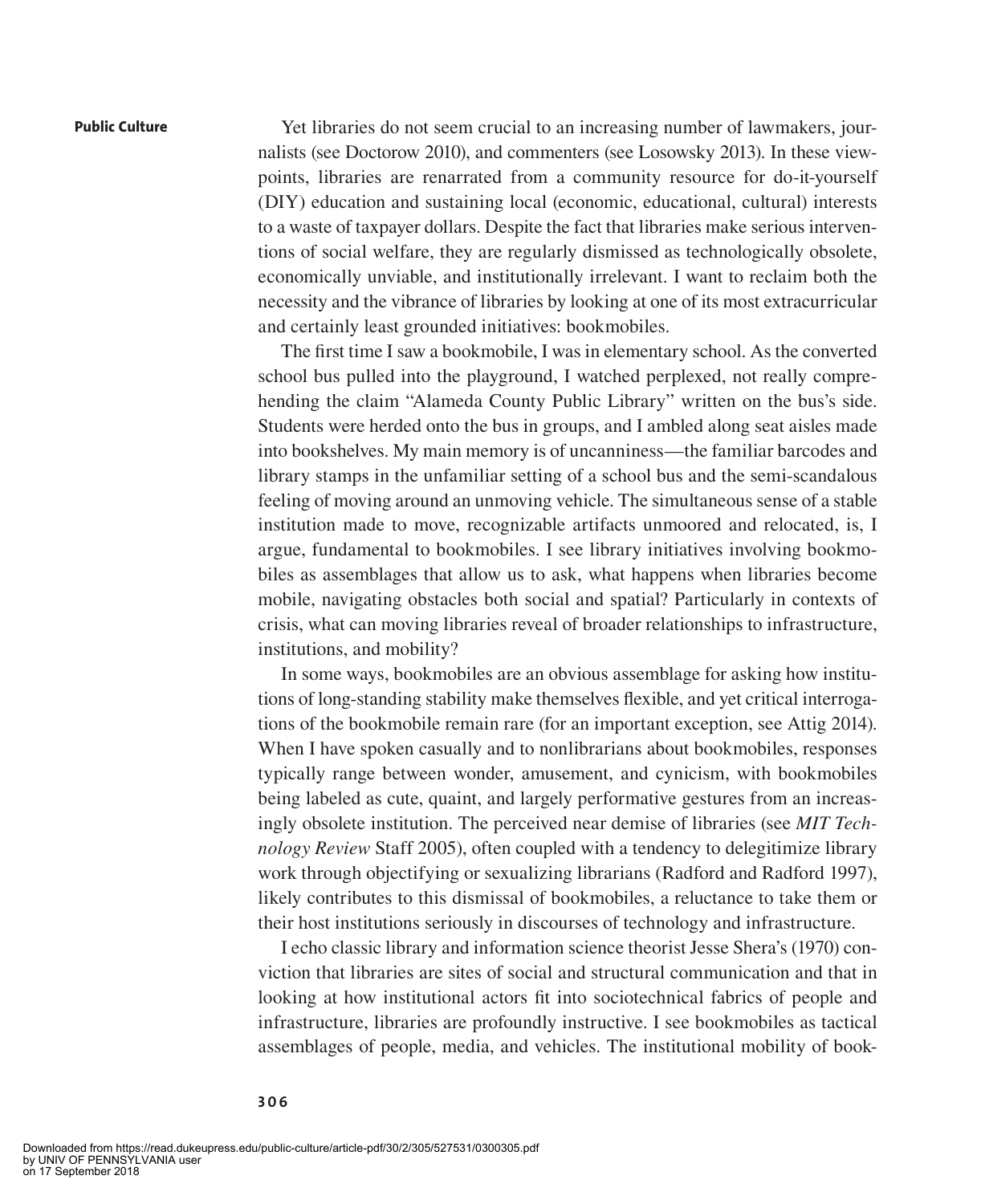Yet libraries do not seem crucial to an increasing number of lawmakers, journalists (see Doctorow 2010), and commenters (see Losowsky 2013). In these viewpoints, libraries are renarrated from a community resource for do-it-yourself (DIY) education and sustaining local (economic, educational, cultural) interests to a waste of taxpayer dollars. Despite the fact that libraries make serious interventions of social welfare, they are regularly dismissed as technologically obsolete, economically unviable, and institutionally irrelevant. I want to reclaim both the necessity and the vibrance of libraries by looking at one of its most extracurricular and certainly least grounded initiatives: bookmobiles.

The first time I saw a bookmobile, I was in elementary school. As the converted school bus pulled into the playground, I watched perplexed, not really comprehending the claim "Alameda County Public Library" written on the bus's side. Students were herded onto the bus in groups, and I ambled along seat aisles made into bookshelves. My main memory is of uncanniness — the familiar barcodes and library stamps in the unfamiliar setting of a school bus and the semi- scandalous feeling of moving around an unmoving vehicle. The simultaneous sense of a stable institution made to move, recognizable artifacts unmoored and relocated, is, I argue, fundamental to bookmobiles. I see library initiatives involving bookmobiles as assemblages that allow us to ask, what happens when libraries become mobile, navigating obstacles both social and spatial? Particularly in contexts of crisis, what can moving libraries reveal of broader relationships to infrastructure, institutions, and mobility?

In some ways, bookmobiles are an obvious assemblage for asking how institutions of long-standing stability make themselves flexible, and yet critical interrogations of the bookmobile remain rare (for an important exception, see Attig 2014). When I have spoken casually and to nonlibrarians about bookmobiles, responses typically range between wonder, amusement, and cynicism, with bookmobiles being labeled as cute, quaint, and largely performative gestures from an increasingly obsolete institution. The perceived near demise of libraries (see *MIT Technology Review* Staff 2005), often coupled with a tendency to delegitimize library work through objectifying or sexualizing librarians (Radford and Radford 1997), likely contributes to this dismissal of bookmobiles, a reluctance to take them or their host institutions seriously in discourses of technology and infrastructure.

I echo classic library and information science theorist Jesse Shera's (1970) conviction that libraries are sites of social and structural communication and that in looking at how institutional actors fit into sociotechnical fabrics of people and infrastructure, libraries are profoundly instructive. I see bookmobiles as tactical assemblages of people, media, and vehicles. The institutional mobility of book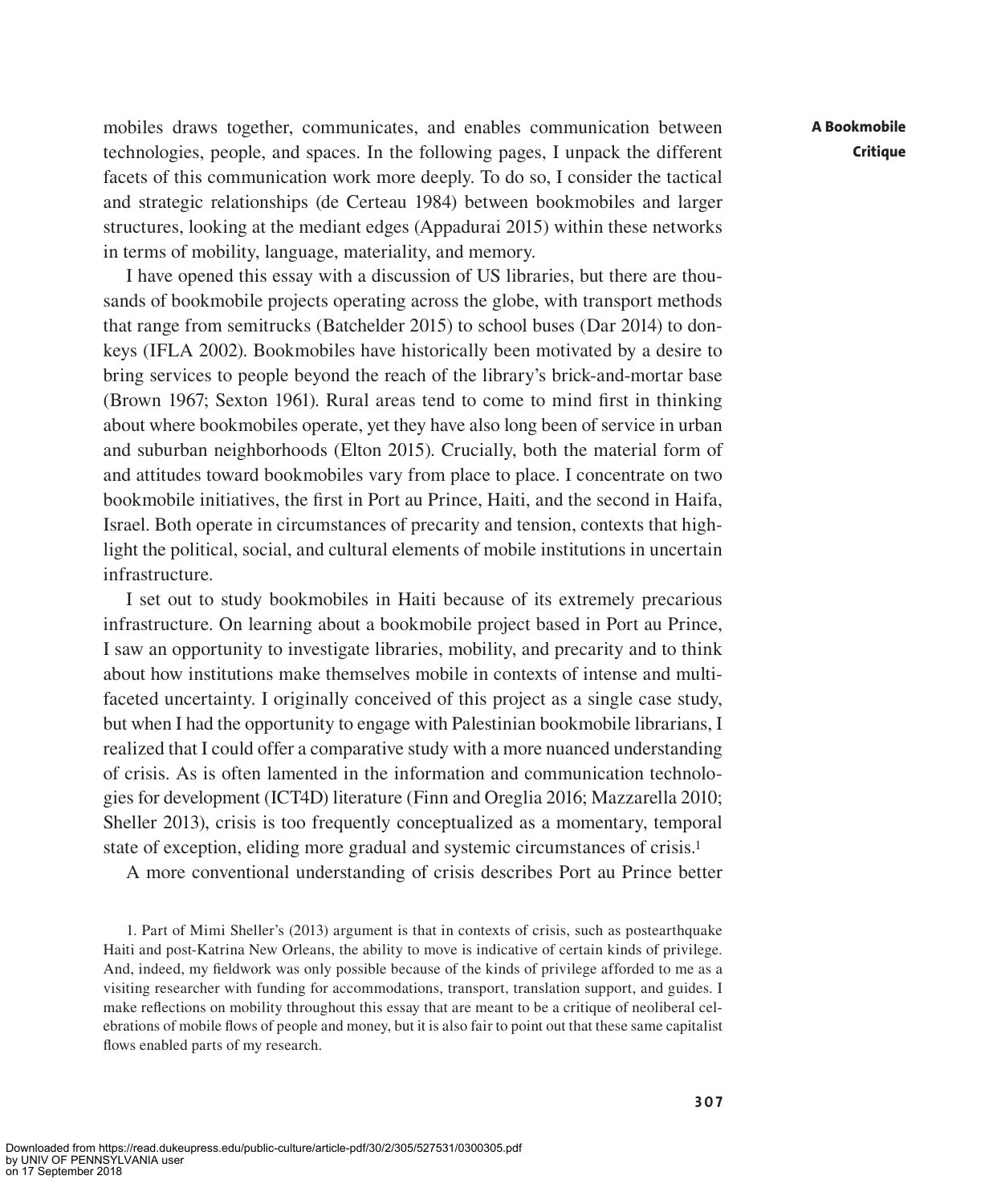mobiles draws together, communicates, and enables communication between technologies, people, and spaces. In the following pages, I unpack the different facets of this communication work more deeply. To do so, I consider the tactical and strategic relationships (de Certeau 1984) between bookmobiles and larger structures, looking at the mediant edges (Appadurai 2015) within these networks in terms of mobility, language, materiality, and memory.

I have opened this essay with a discussion of US libraries, but there are thousands of bookmobile projects operating across the globe, with transport methods that range from semitrucks (Batchelder 2015) to school buses (Dar 2014) to donkeys (IFLA 2002). Bookmobiles have historically been motivated by a desire to bring services to people beyond the reach of the library's brick-and-mortar base (Brown 1967; Sexton 1961). Rural areas tend to come to mind first in thinking about where bookmobiles operate, yet they have also long been of service in urban and suburban neighborhoods (Elton 2015). Crucially, both the material form of and attitudes toward bookmobiles vary from place to place. I concentrate on two bookmobile initiatives, the first in Port au Prince, Haiti, and the second in Haifa, Israel. Both operate in circumstances of precarity and tension, contexts that highlight the political, social, and cultural elements of mobile institutions in uncertain infrastructure.

I set out to study bookmobiles in Haiti because of its extremely precarious infrastructure. On learning about a bookmobile project based in Port au Prince, I saw an opportunity to investigate libraries, mobility, and precarity and to think about how institutions make themselves mobile in contexts of intense and multifaceted uncertainty. I originally conceived of this project as a single case study, but when I had the opportunity to engage with Palestinian bookmobile librarians, I realized that I could offer a comparative study with a more nuanced understanding of crisis. As is often lamented in the information and communication technologies for development (ICT4D) literature (Finn and Oreglia 2016; Mazzarella 2010; Sheller 2013), crisis is too frequently conceptualized as a momentary, temporal state of exception, eliding more gradual and systemic circumstances of crisis.1

A more conventional understanding of crisis describes Port au Prince better

1. Part of Mimi Sheller's (2013) argument is that in contexts of crisis, such as postearthquake Haiti and post-Katrina New Orleans, the ability to move is indicative of certain kinds of privilege. And, indeed, my fieldwork was only possible because of the kinds of privilege afforded to me as a visiting researcher with funding for accommodations, transport, translation support, and guides. I make reflections on mobility throughout this essay that are meant to be a critique of neoliberal celebrations of mobile flows of people and money, but it is also fair to point out that these same capitalist flows enabled parts of my research.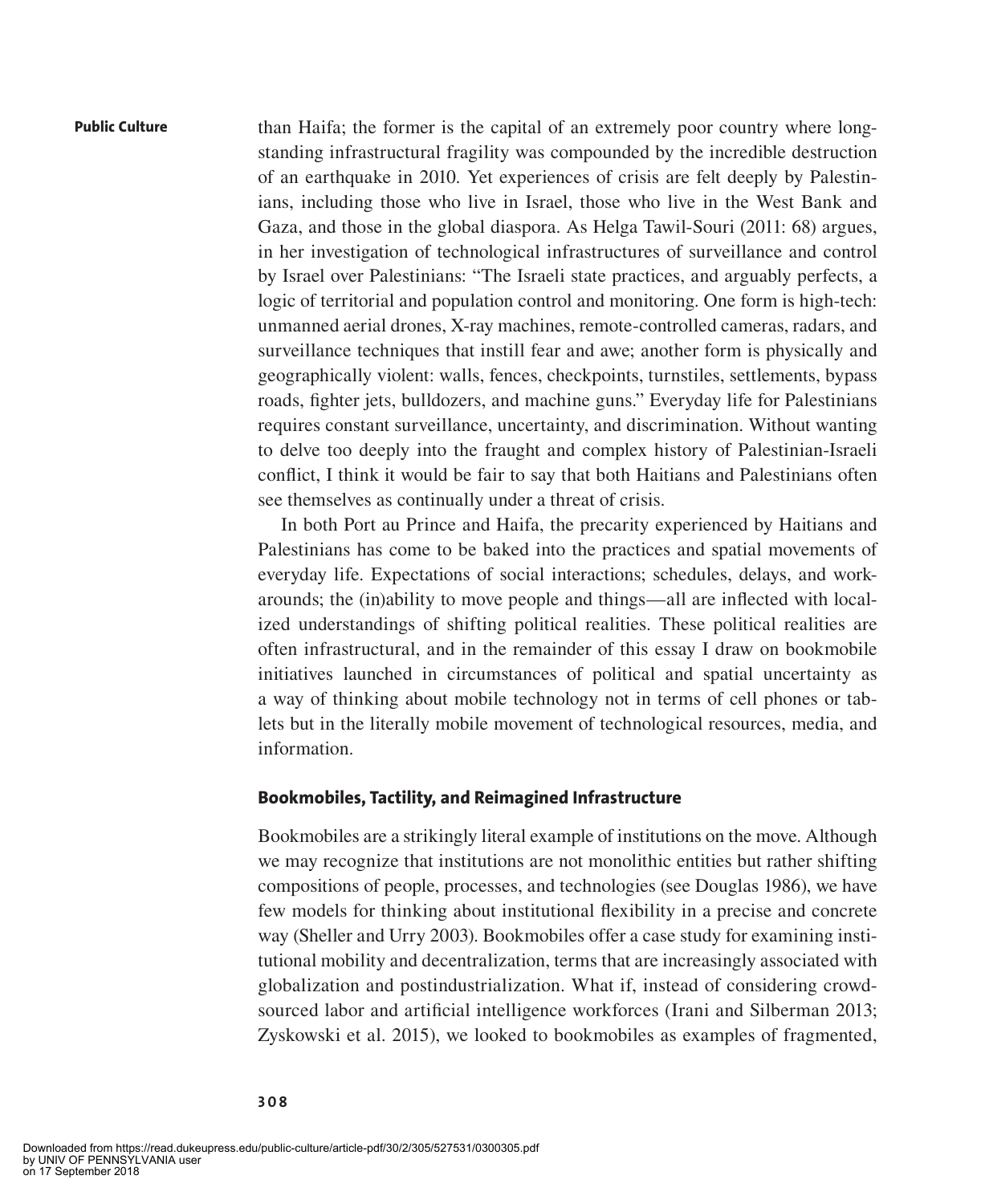than Haifa; the former is the capital of an extremely poor country where longstanding infrastructural fragility was compounded by the incredible destruction of an earthquake in 2010. Yet experiences of crisis are felt deeply by Palestinians, including those who live in Israel, those who live in the West Bank and Gaza, and those in the global diaspora. As Helga Tawil-Souri (2011: 68) argues, in her investigation of technological infrastructures of surveillance and control by Israel over Palestinians: "The Israeli state practices, and arguably perfects, a logic of territorial and population control and monitoring. One form is high-tech: unmanned aerial drones, X-ray machines, remote-controlled cameras, radars, and surveillance techniques that instill fear and awe; another form is physically and geographically violent: walls, fences, checkpoints, turnstiles, settlements, bypass roads, fighter jets, bulldozers, and machine guns." Everyday life for Palestinians requires constant surveillance, uncertainty, and discrimination. Without wanting to delve too deeply into the fraught and complex history of Palestinian-Israeli conflict, I think it would be fair to say that both Haitians and Palestinians often see themselves as continually under a threat of crisis.

In both Port au Prince and Haifa, the precarity experienced by Haitians and Palestinians has come to be baked into the practices and spatial movements of everyday life. Expectations of social interactions; schedules, delays, and workarounds; the (in)ability to move people and things—all are inflected with localized understandings of shifting political realities. These political realities are often infrastructural, and in the remainder of this essay I draw on bookmobile initiatives launched in circumstances of political and spatial uncertainty as a way of thinking about mobile technology not in terms of cell phones or tablets but in the literally mobile movement of technological resources, media, and information.

## **Bookmobiles, Tactility, and Reimagined Infrastructure**

Bookmobiles are a strikingly literal example of institutions on the move. Although we may recognize that institutions are not monolithic entities but rather shifting compositions of people, processes, and technologies (see Douglas 1986), we have few models for thinking about institutional flexibility in a precise and concrete way (Sheller and Urry 2003). Bookmobiles offer a case study for examining institutional mobility and decentralization, terms that are increasingly associated with globalization and postindustrialization. What if, instead of considering crowdsourced labor and artificial intelligence workforces (Irani and Silberman 2013; Zyskowski et al. 2015), we looked to bookmobiles as examples of fragmented,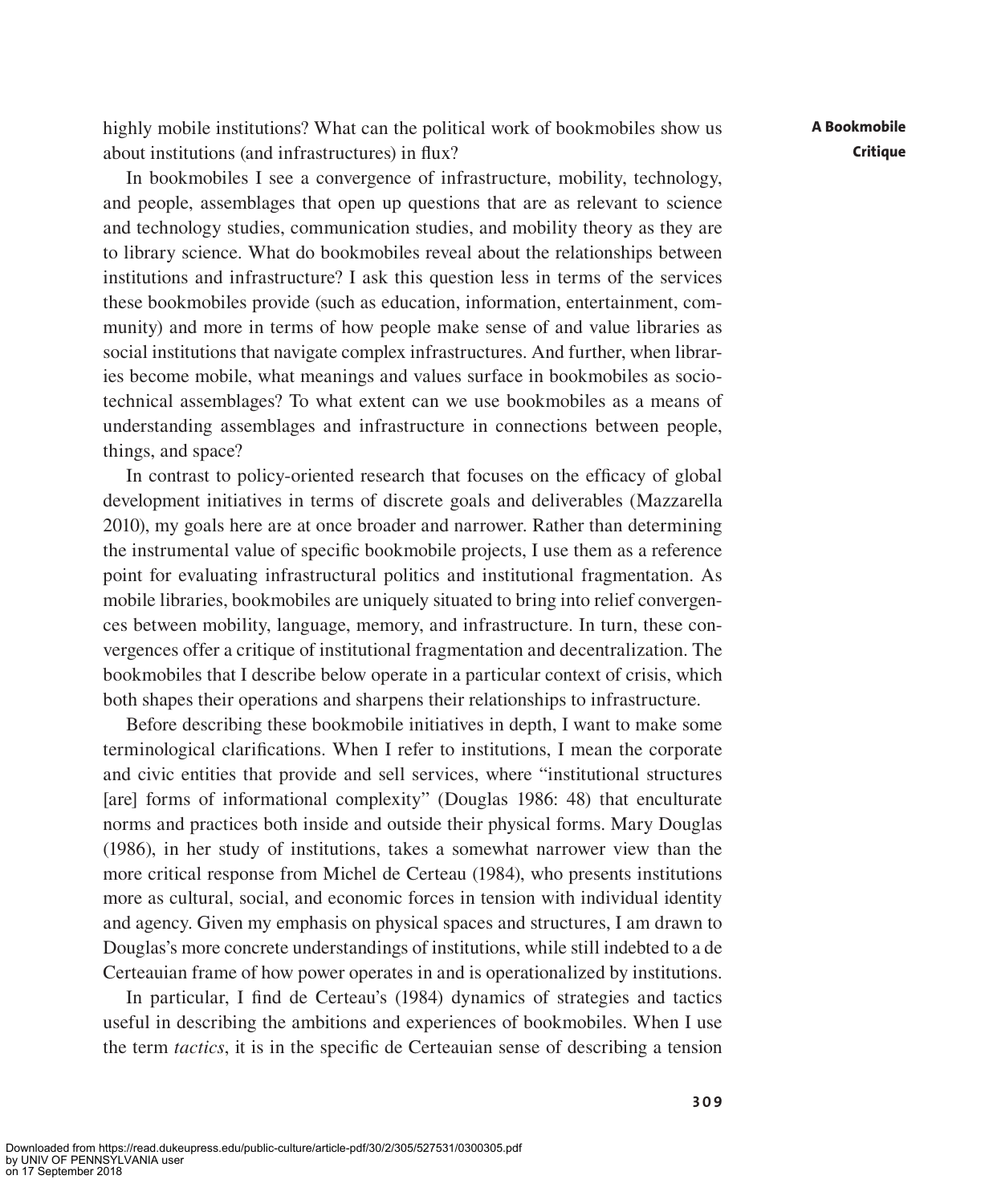highly mobile institutions? What can the political work of bookmobiles show us about institutions (and infrastructures) in flux?

In bookmobiles I see a convergence of infrastructure, mobility, technology, and people, assemblages that open up questions that are as relevant to science and technology studies, communication studies, and mobility theory as they are to library science. What do bookmobiles reveal about the relationships between institutions and infrastructure? I ask this question less in terms of the services these bookmobiles provide (such as education, information, entertainment, community) and more in terms of how people make sense of and value libraries as social institutions that navigate complex infrastructures. And further, when libraries become mobile, what meanings and values surface in bookmobiles as sociotechnical assemblages? To what extent can we use bookmobiles as a means of understanding assemblages and infrastructure in connections between people, things, and space?

In contrast to policy-oriented research that focuses on the efficacy of global development initiatives in terms of discrete goals and deliverables (Mazzarella 2010), my goals here are at once broader and narrower. Rather than determining the instrumental value of specific bookmobile projects, I use them as a reference point for evaluating infrastructural politics and institutional fragmentation. As mobile libraries, bookmobiles are uniquely situated to bring into relief convergences between mobility, language, memory, and infrastructure. In turn, these convergences offer a critique of institutional fragmentation and decentralization. The bookmobiles that I describe below operate in a particular context of crisis, which both shapes their operations and sharpens their relationships to infrastructure.

Before describing these bookmobile initiatives in depth, I want to make some terminological clarifications. When I refer to institutions, I mean the corporate and civic entities that provide and sell services, where "institutional structures [are] forms of informational complexity" (Douglas 1986: 48) that enculturate norms and practices both inside and outside their physical forms. Mary Douglas (1986), in her study of institutions, takes a somewhat narrower view than the more critical response from Michel de Certeau (1984), who presents institutions more as cultural, social, and economic forces in tension with individual identity and agency. Given my emphasis on physical spaces and structures, I am drawn to Douglas's more concrete understandings of institutions, while still indebted to a de Certeauian frame of how power operates in and is operationalized by institutions.

In particular, I find de Certeau's (1984) dynamics of strategies and tactics useful in describing the ambitions and experiences of bookmobiles. When I use the term *tactics*, it is in the specific de Certeauian sense of describing a tension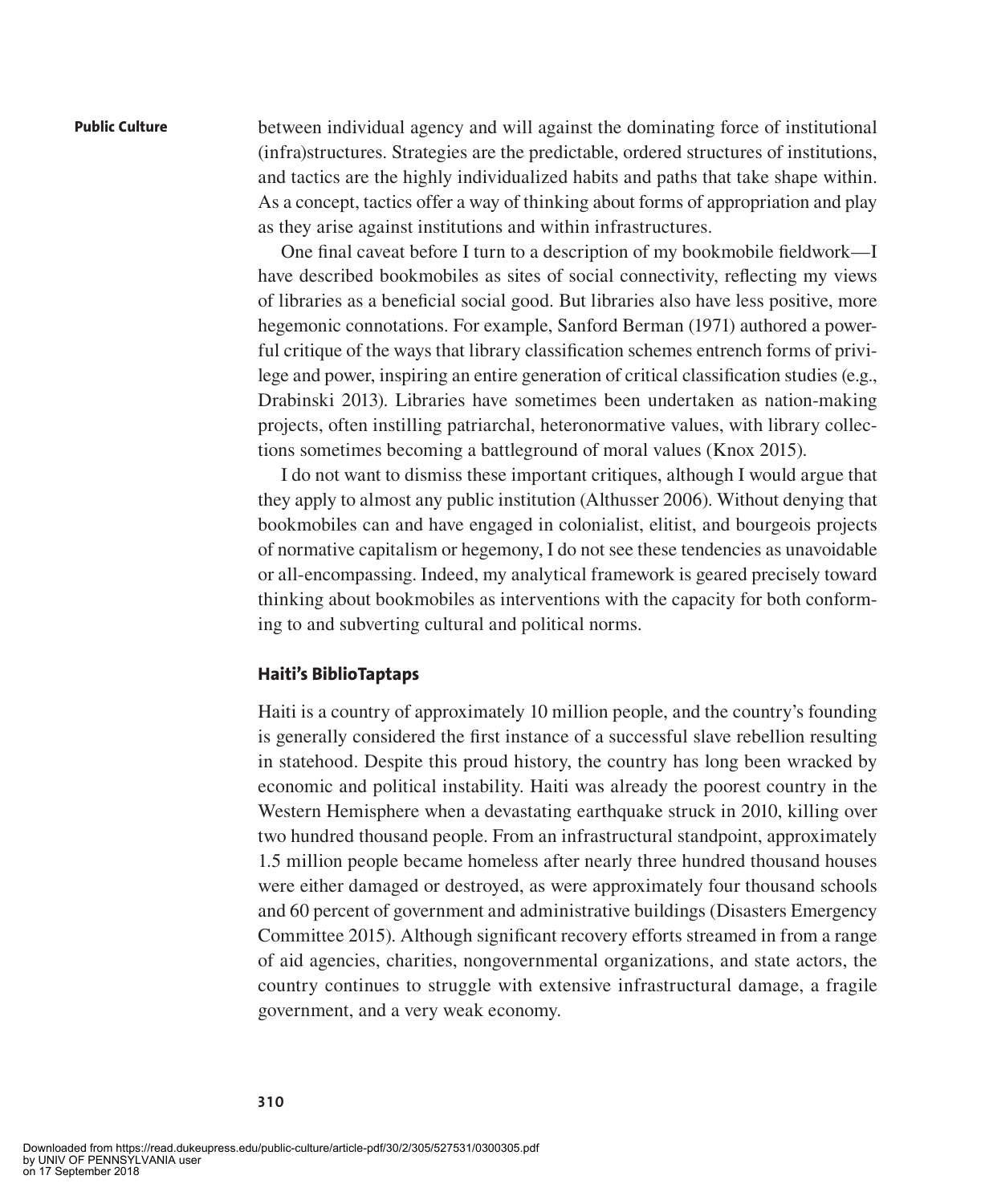between individual agency and will against the dominating force of institutional (infra)structures. Strategies are the predictable, ordered structures of institutions, and tactics are the highly individualized habits and paths that take shape within. As a concept, tactics offer a way of thinking about forms of appropriation and play as they arise against institutions and within infrastructures.

One final caveat before I turn to a description of my bookmobile fieldwork—I have described bookmobiles as sites of social connectivity, reflecting my views of libraries as a beneficial social good. But libraries also have less positive, more hegemonic connotations. For example, Sanford Berman (1971) authored a powerful critique of the ways that library classification schemes entrench forms of privilege and power, inspiring an entire generation of critical classification studies (e.g., Drabinski 2013). Libraries have sometimes been undertaken as nation-making projects, often instilling patriarchal, heteronormative values, with library collections sometimes becoming a battleground of moral values (Knox 2015).

I do not want to dismiss these important critiques, although I would argue that they apply to almost any public institution (Althusser 2006). Without denying that bookmobiles can and have engaged in colonialist, elitist, and bourgeois projects of normative capitalism or hegemony, I do not see these tendencies as unavoidable or all-encompassing. Indeed, my analytical framework is geared precisely toward thinking about bookmobiles as interventions with the capacity for both conforming to and subverting cultural and political norms.

## **Haiti's BiblioTaptaps**

Haiti is a country of approximately 10 million people, and the country's founding is generally considered the first instance of a successful slave rebellion resulting in statehood. Despite this proud history, the country has long been wracked by economic and political instability. Haiti was already the poorest country in the Western Hemisphere when a devastating earthquake struck in 2010, killing over two hundred thousand people. From an infrastructural standpoint, approximately 1.5 million people became homeless after nearly three hundred thousand houses were either damaged or destroyed, as were approximately four thousand schools and 60 percent of government and administrative buildings (Disasters Emergency Committee 2015). Although significant recovery efforts streamed in from a range of aid agencies, charities, nongovernmental organizations, and state actors, the country continues to struggle with extensive infrastructural damage, a fragile government, and a very weak economy.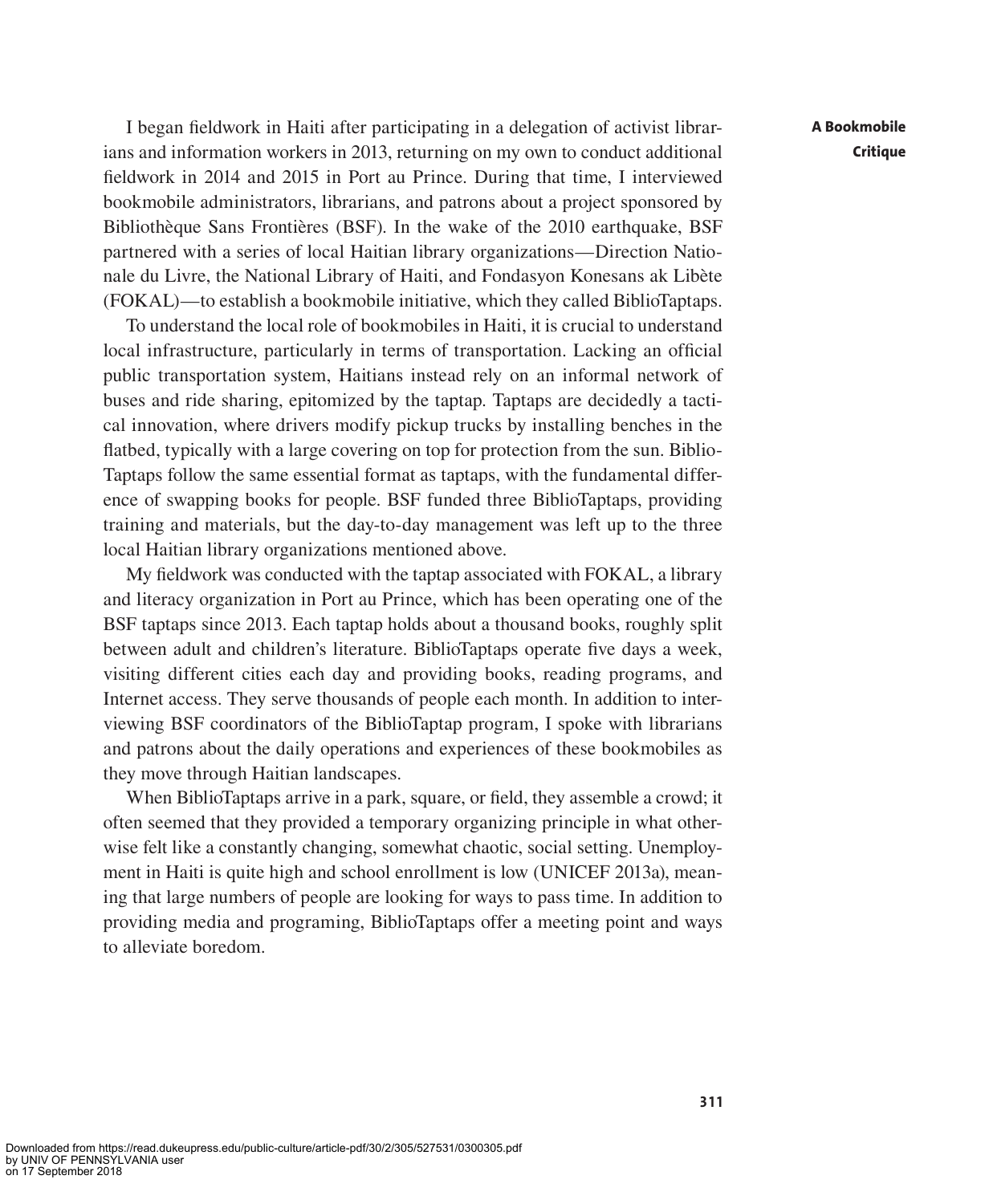I began fieldwork in Haiti after participating in a delegation of activist librarians and information workers in 2013, returning on my own to conduct additional fieldwork in 2014 and 2015 in Port au Prince. During that time, I interviewed bookmobile administrators, librarians, and patrons about a project sponsored by Bibliothèque Sans Frontières (BSF). In the wake of the 2010 earthquake, BSF partnered with a series of local Haitian library organizations — Direction Nationale du Livre, the National Library of Haiti, and Fondasyon Konesans ak Libète (FOKAL) — to establish a bookmobile initiative, which they called BiblioTaptaps.

To understand the local role of bookmobiles in Haiti, it is crucial to understand local infrastructure, particularly in terms of transportation. Lacking an official public transportation system, Haitians instead rely on an informal network of buses and ride sharing, epitomized by the taptap. Taptaps are decidedly a tactical innovation, where drivers modify pickup trucks by installing benches in the flatbed, typically with a large covering on top for protection from the sun. Biblio-Taptaps follow the same essential format as taptaps, with the fundamental difference of swapping books for people. BSF funded three BiblioTaptaps, providing training and materials, but the day-to-day management was left up to the three local Haitian library organizations mentioned above.

My fieldwork was conducted with the taptap associated with FOKAL, a library and literacy organization in Port au Prince, which has been operating one of the BSF taptaps since 2013. Each taptap holds about a thousand books, roughly split between adult and children's literature. BiblioTaptaps operate five days a week, visiting different cities each day and providing books, reading programs, and Internet access. They serve thousands of people each month. In addition to interviewing BSF coordinators of the BiblioTaptap program, I spoke with librarians and patrons about the daily operations and experiences of these bookmobiles as they move through Haitian landscapes.

When BiblioTaptaps arrive in a park, square, or field, they assemble a crowd; it often seemed that they provided a temporary organizing principle in what otherwise felt like a constantly changing, somewhat chaotic, social setting. Unemployment in Haiti is quite high and school enrollment is low (UNICEF 2013a), meaning that large numbers of people are looking for ways to pass time. In addition to providing media and programing, BiblioTaptaps offer a meeting point and ways to alleviate boredom.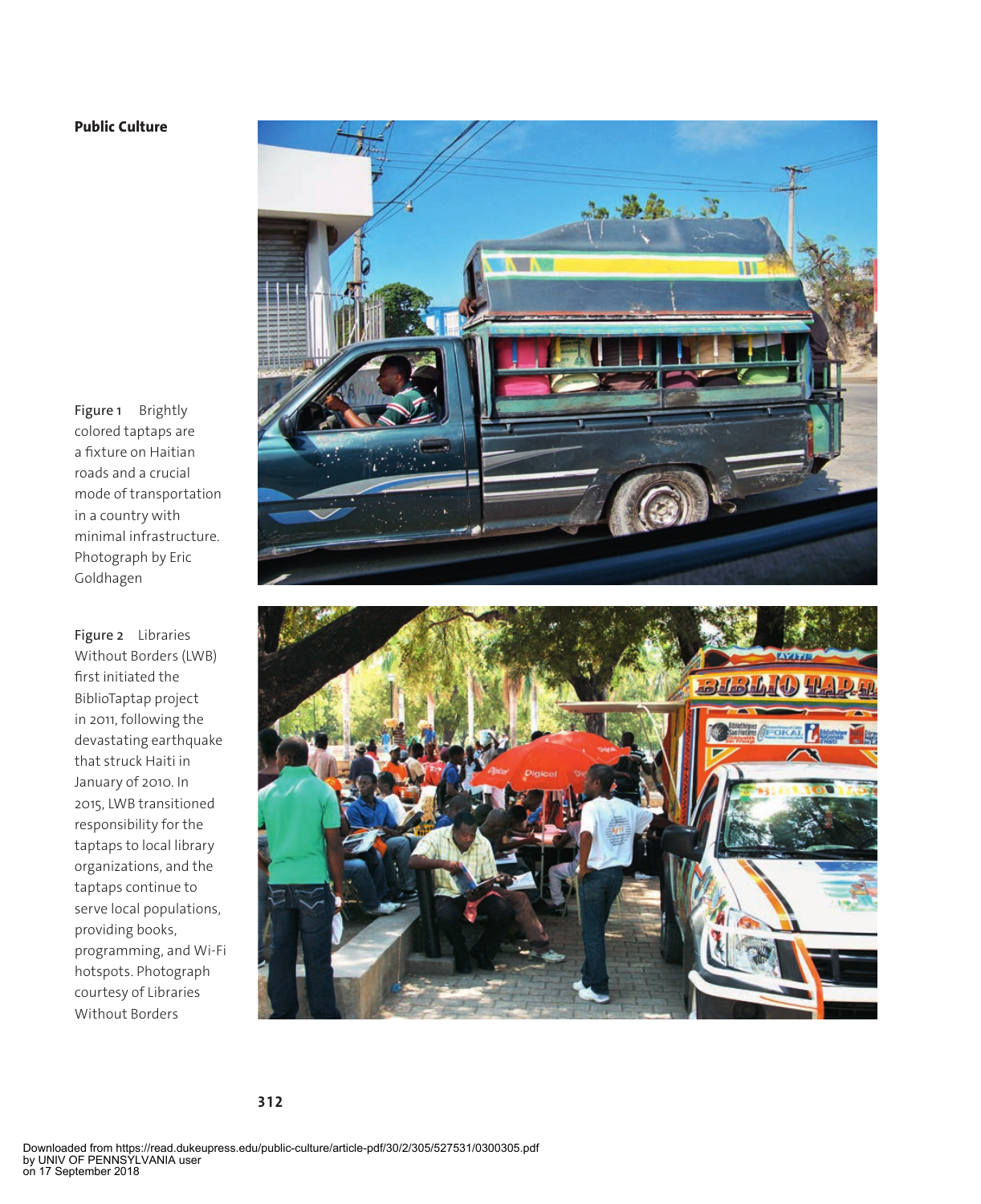Figure 1 Brightly colored taptaps are a fixture on Haitian roads and a crucial mode of transportation in a country with minimal infrastructure. Photograph by Eric Goldhagen

Figure 2 Libraries Without Borders (LWB) first initiated the BiblioTaptap project in 2011, following the devastating earthquake that struck Haiti in January of 2010. In 2015, LWB transitioned responsibility for the taptaps to local library organizations, and the taptaps continue to serve local populations, providing books, programming, and Wi-Fi hotspots. Photograph courtesy of Libraries Without Borders



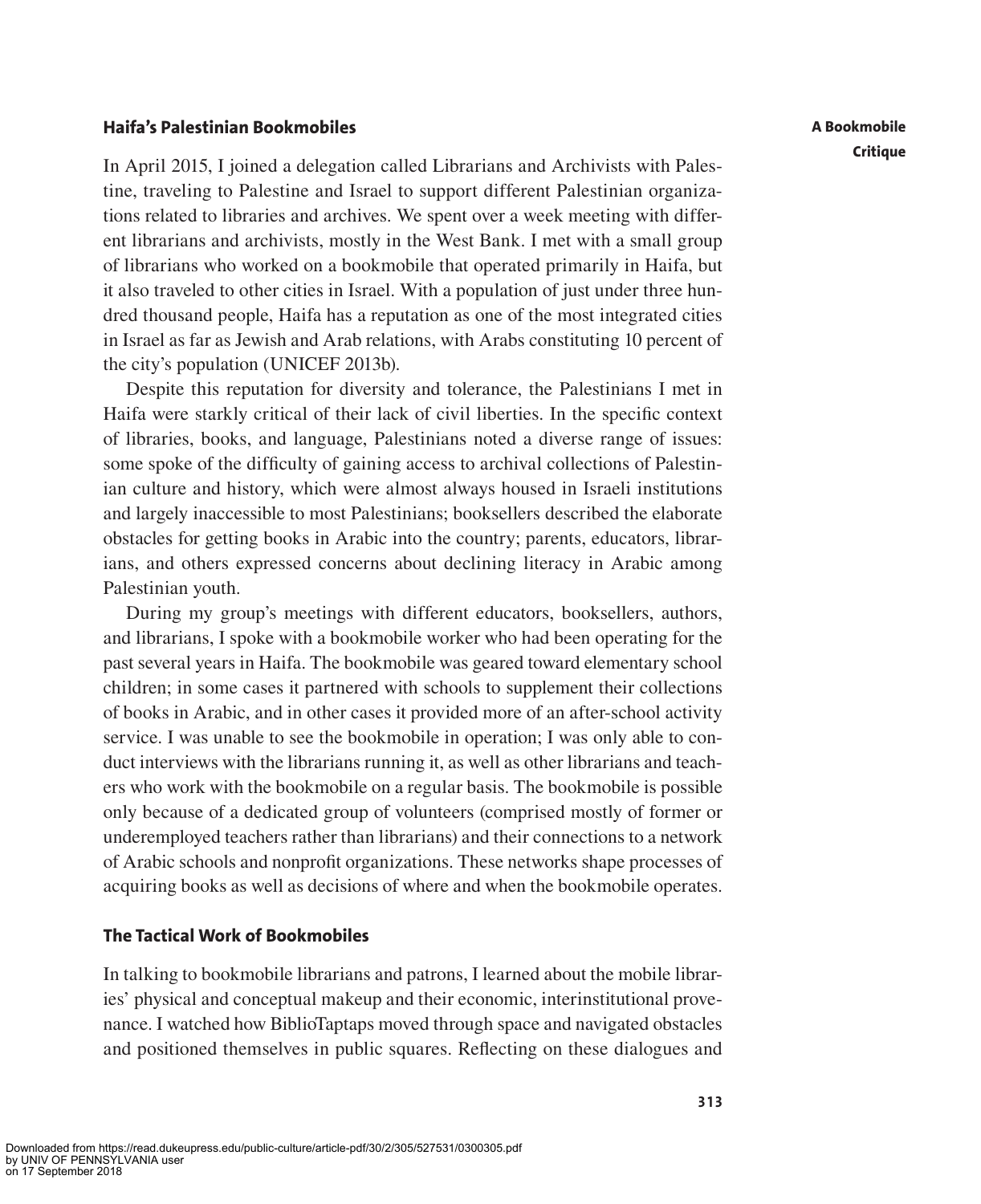# **Haifa's Palestinian Bookmobiles**

In April 2015, I joined a delegation called Librarians and Archivists with Palestine, traveling to Palestine and Israel to support different Palestinian organizations related to libraries and archives. We spent over a week meeting with different librarians and archivists, mostly in the West Bank. I met with a small group of librarians who worked on a bookmobile that operated primarily in Haifa, but it also traveled to other cities in Israel. With a population of just under three hundred thousand people, Haifa has a reputation as one of the most integrated cities in Israel as far as Jewish and Arab relations, with Arabs constituting 10 percent of the city's population (UNICEF 2013b).

Despite this reputation for diversity and tolerance, the Palestinians I met in Haifa were starkly critical of their lack of civil liberties. In the specific context of libraries, books, and language, Palestinians noted a diverse range of issues: some spoke of the difficulty of gaining access to archival collections of Palestinian culture and history, which were almost always housed in Israeli institutions and largely inaccessible to most Palestinians; booksellers described the elaborate obstacles for getting books in Arabic into the country; parents, educators, librarians, and others expressed concerns about declining literacy in Arabic among Palestinian youth.

During my group's meetings with different educators, booksellers, authors, and librarians, I spoke with a bookmobile worker who had been operating for the past several years in Haifa. The bookmobile was geared toward elementary school children; in some cases it partnered with schools to supplement their collections of books in Arabic, and in other cases it provided more of an after-school activity service. I was unable to see the bookmobile in operation; I was only able to conduct interviews with the librarians running it, as well as other librarians and teachers who work with the bookmobile on a regular basis. The bookmobile is possible only because of a dedicated group of volunteers (comprised mostly of former or underemployed teachers rather than librarians) and their connections to a network of Arabic schools and nonprofit organizations. These networks shape processes of acquiring books as well as decisions of where and when the bookmobile operates.

# **The Tactical Work of Bookmobiles**

In talking to bookmobile librarians and patrons, I learned about the mobile libraries' physical and conceptual makeup and their economic, interinstitutional provenance. I watched how BiblioTaptaps moved through space and navigated obstacles and positioned themselves in public squares. Reflecting on these dialogues and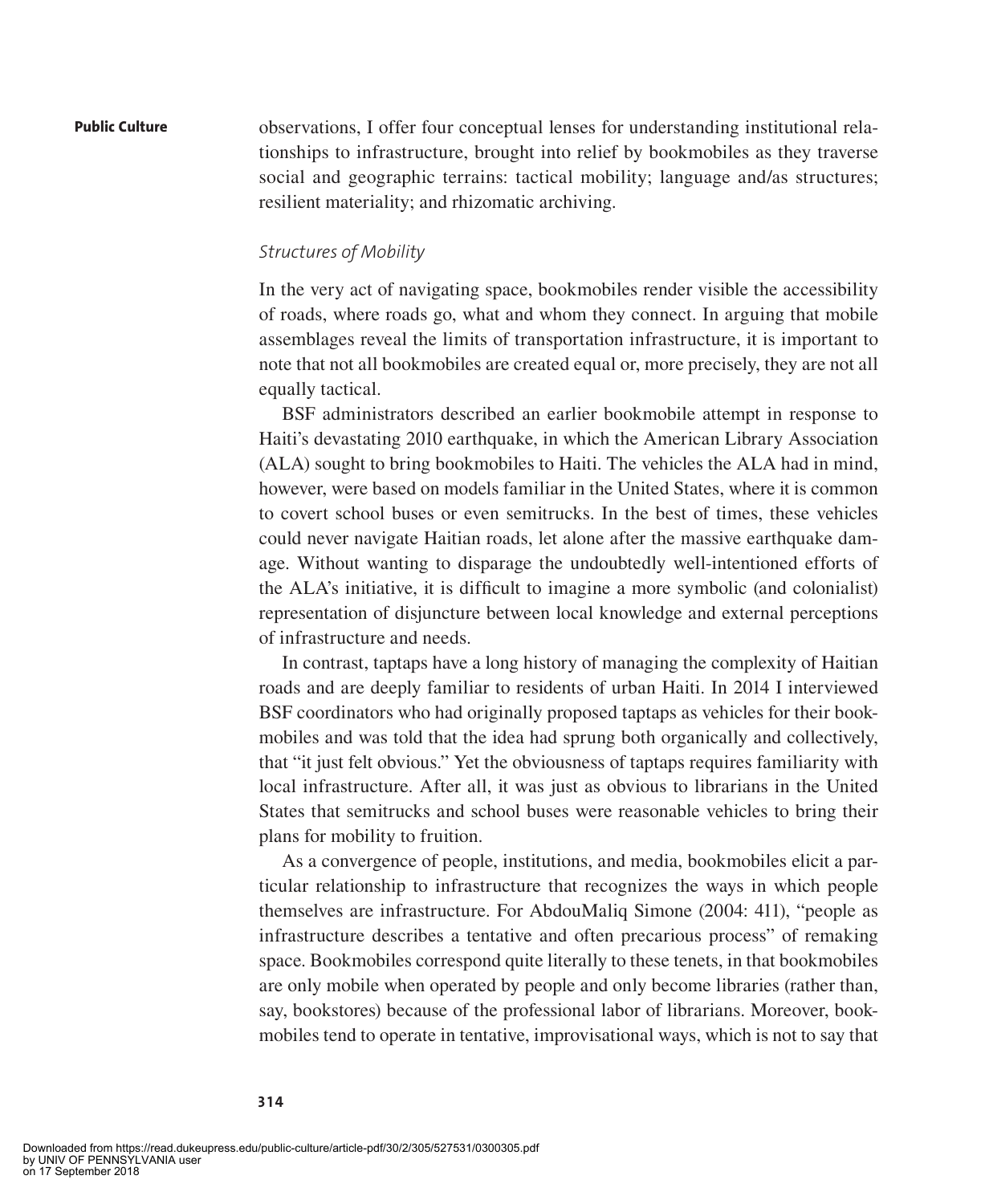observations, I offer four conceptual lenses for understanding institutional relationships to infrastructure, brought into relief by bookmobiles as they traverse social and geographic terrains: tactical mobility; language and/as structures; resilient materiality; and rhizomatic archiving.

# *Structures of Mobility*

In the very act of navigating space, bookmobiles render visible the accessibility of roads, where roads go, what and whom they connect. In arguing that mobile assemblages reveal the limits of transportation infrastructure, it is important to note that not all bookmobiles are created equal or, more precisely, they are not all equally tactical.

BSF administrators described an earlier bookmobile attempt in response to Haiti's devastating 2010 earthquake, in which the American Library Association (ALA) sought to bring bookmobiles to Haiti. The vehicles the ALA had in mind, however, were based on models familiar in the United States, where it is common to covert school buses or even semitrucks. In the best of times, these vehicles could never navigate Haitian roads, let alone after the massive earthquake damage. Without wanting to disparage the undoubtedly well-intentioned efforts of the ALA's initiative, it is difcult to imagine a more symbolic (and colonialist) representation of disjuncture between local knowledge and external perceptions of infrastructure and needs.

In contrast, taptaps have a long history of managing the complexity of Haitian roads and are deeply familiar to residents of urban Haiti. In 2014 I interviewed BSF coordinators who had originally proposed taptaps as vehicles for their bookmobiles and was told that the idea had sprung both organically and collectively, that "it just felt obvious." Yet the obviousness of taptaps requires familiarity with local infrastructure. After all, it was just as obvious to librarians in the United States that semitrucks and school buses were reasonable vehicles to bring their plans for mobility to fruition.

As a convergence of people, institutions, and media, bookmobiles elicit a particular relationship to infrastructure that recognizes the ways in which people themselves are infrastructure. For AbdouMaliq Simone (2004: 411), "people as infrastructure describes a tentative and often precarious process" of remaking space. Bookmobiles correspond quite literally to these tenets, in that bookmobiles are only mobile when operated by people and only become libraries (rather than, say, bookstores) because of the professional labor of librarians. Moreover, bookmobiles tend to operate in tentative, improvisational ways, which is not to say that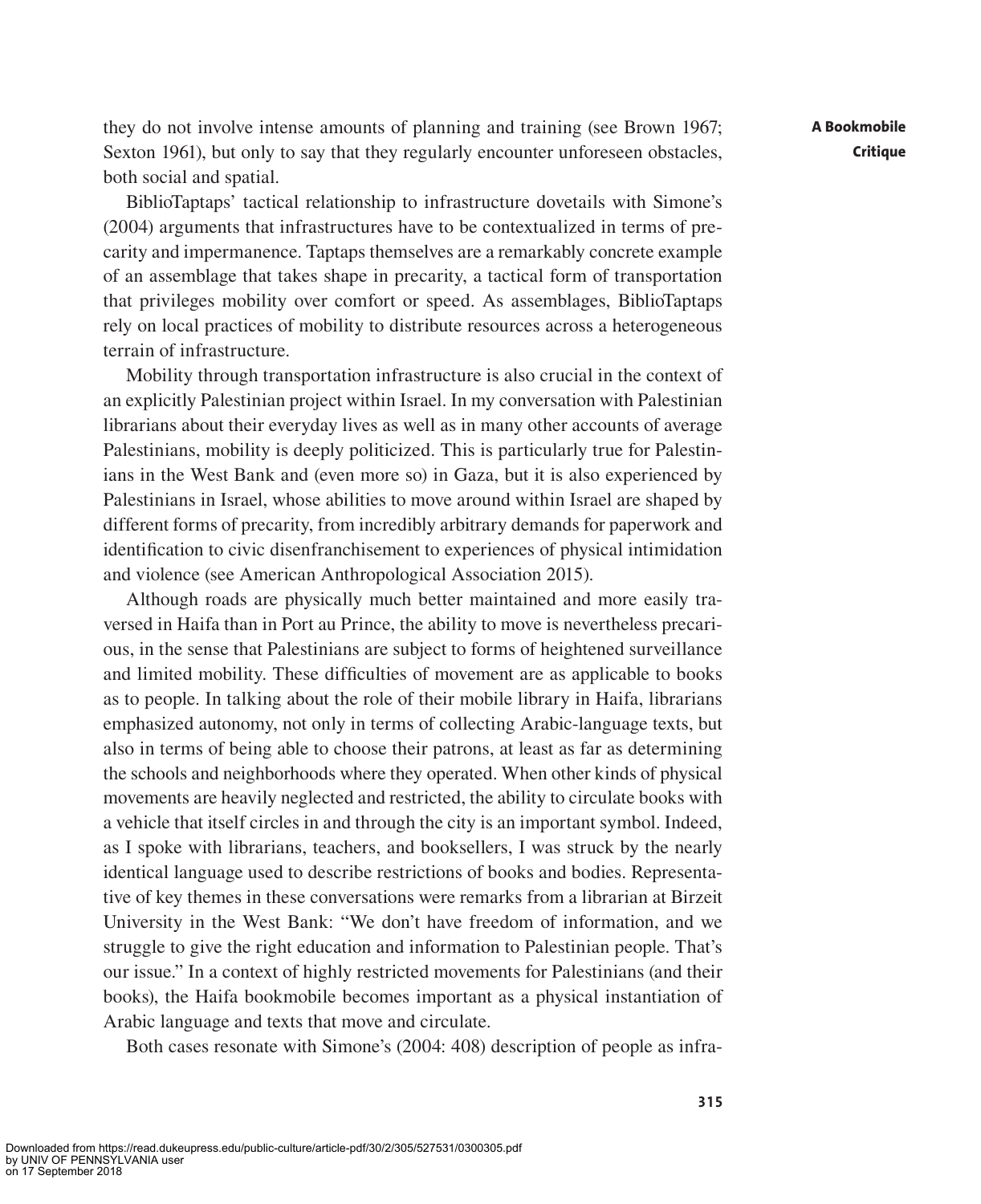they do not involve intense amounts of planning and training (see Brown 1967; Sexton 1961), but only to say that they regularly encounter unforeseen obstacles, both social and spatial.

BiblioTaptaps' tactical relationship to infrastructure dovetails with Simone's (2004) arguments that infrastructures have to be contextualized in terms of precarity and impermanence. Taptaps themselves are a remarkably concrete example of an assemblage that takes shape in precarity, a tactical form of transportation that privileges mobility over comfort or speed. As assemblages, BiblioTaptaps rely on local practices of mobility to distribute resources across a heterogeneous terrain of infrastructure.

Mobility through transportation infrastructure is also crucial in the context of an explicitly Palestinian project within Israel. In my conversation with Palestinian librarians about their everyday lives as well as in many other accounts of average Palestinians, mobility is deeply politicized. This is particularly true for Palestinians in the West Bank and (even more so) in Gaza, but it is also experienced by Palestinians in Israel, whose abilities to move around within Israel are shaped by different forms of precarity, from incredibly arbitrary demands for paperwork and identification to civic disenfranchisement to experiences of physical intimidation and violence (see American Anthropological Association 2015).

Although roads are physically much better maintained and more easily traversed in Haifa than in Port au Prince, the ability to move is nevertheless precarious, in the sense that Palestinians are subject to forms of heightened surveillance and limited mobility. These difculties of movement are as applicable to books as to people. In talking about the role of their mobile library in Haifa, librarians emphasized autonomy, not only in terms of collecting Arabic-language texts, but also in terms of being able to choose their patrons, at least as far as determining the schools and neighborhoods where they operated. When other kinds of physical movements are heavily neglected and restricted, the ability to circulate books with a vehicle that itself circles in and through the city is an important symbol. Indeed, as I spoke with librarians, teachers, and booksellers, I was struck by the nearly identical language used to describe restrictions of books and bodies. Representative of key themes in these conversations were remarks from a librarian at Birzeit University in the West Bank: "We don't have freedom of information, and we struggle to give the right education and information to Palestinian people. That's our issue." In a context of highly restricted movements for Palestinians (and their books), the Haifa bookmobile becomes important as a physical instantiation of Arabic language and texts that move and circulate.

Both cases resonate with Simone's (2004: 408) description of people as infra-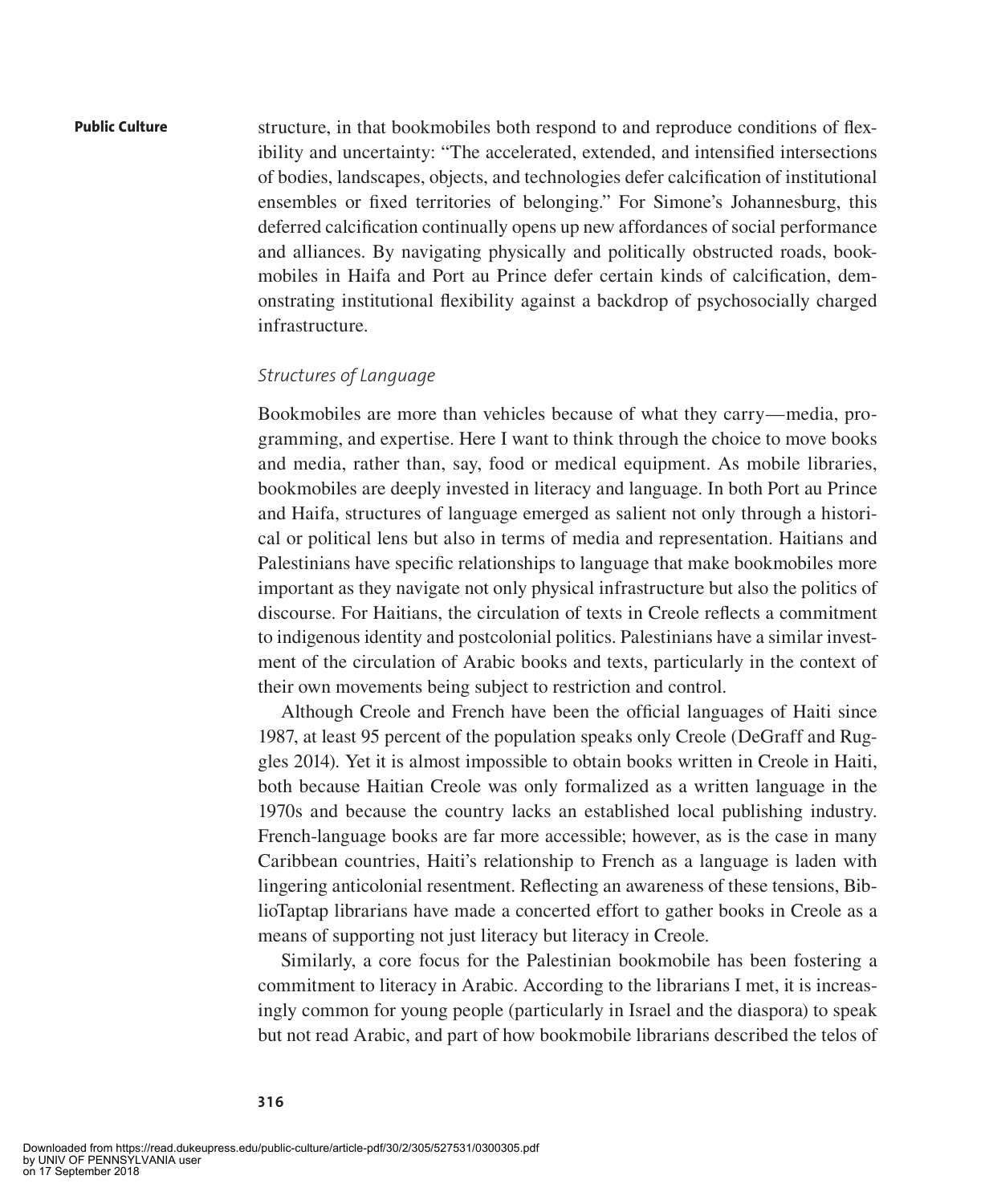structure, in that bookmobiles both respond to and reproduce conditions of flexibility and uncertainty: "The accelerated, extended, and intensified intersections of bodies, landscapes, objects, and technologies defer calcication of institutional ensembles or fixed territories of belonging." For Simone's Johannesburg, this deferred calcification continually opens up new affordances of social performance and alliances. By navigating physically and politically obstructed roads, bookmobiles in Haifa and Port au Prince defer certain kinds of calcification, demonstrating institutional flexibility against a backdrop of psychosocially charged infrastructure.

# *Structures of Language*

Bookmobiles are more than vehicles because of what they carry — media, programming, and expertise. Here I want to think through the choice to move books and media, rather than, say, food or medical equipment. As mobile libraries, bookmobiles are deeply invested in literacy and language. In both Port au Prince and Haifa, structures of language emerged as salient not only through a historical or political lens but also in terms of media and representation. Haitians and Palestinians have specific relationships to language that make bookmobiles more important as they navigate not only physical infrastructure but also the politics of discourse. For Haitians, the circulation of texts in Creole reflects a commitment to indigenous identity and postcolonial politics. Palestinians have a similar investment of the circulation of Arabic books and texts, particularly in the context of their own movements being subject to restriction and control.

Although Creole and French have been the official languages of Haiti since 1987, at least 95 percent of the population speaks only Creole (DeGraff and Ruggles 2014). Yet it is almost impossible to obtain books written in Creole in Haiti, both because Haitian Creole was only formalized as a written language in the 1970s and because the country lacks an established local publishing industry. French-language books are far more accessible; however, as is the case in many Caribbean countries, Haiti's relationship to French as a language is laden with lingering anticolonial resentment. Reflecting an awareness of these tensions, BiblioTaptap librarians have made a concerted effort to gather books in Creole as a means of supporting not just literacy but literacy in Creole.

Similarly, a core focus for the Palestinian bookmobile has been fostering a commitment to literacy in Arabic. According to the librarians I met, it is increasingly common for young people (particularly in Israel and the diaspora) to speak but not read Arabic, and part of how bookmobile librarians described the telos of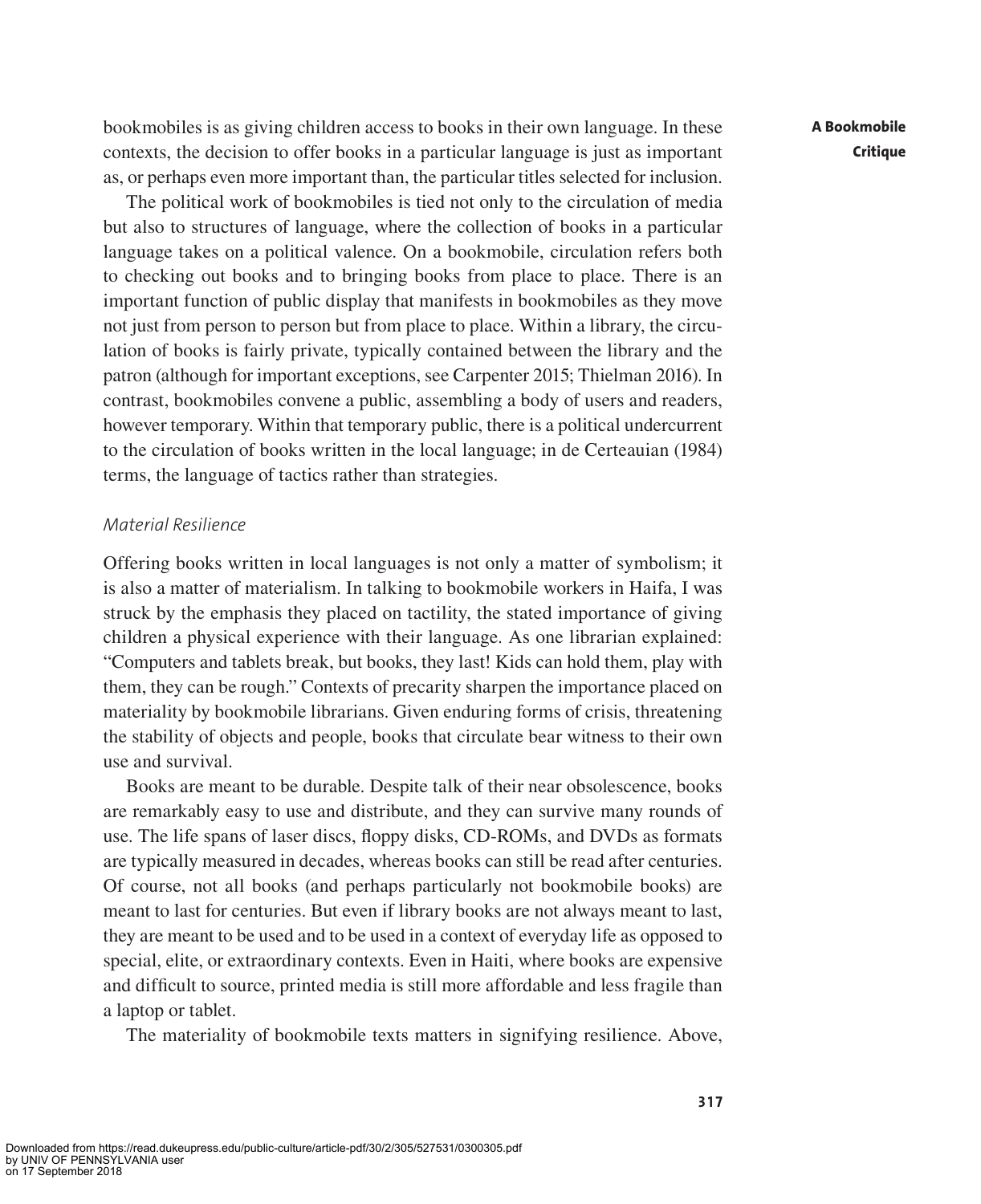bookmobiles is as giving children access to books in their own language. In these contexts, the decision to offer books in a particular language is just as important as, or perhaps even more important than, the particular titles selected for inclusion.

The political work of bookmobiles is tied not only to the circulation of media but also to structures of language, where the collection of books in a particular language takes on a political valence. On a bookmobile, circulation refers both to checking out books and to bringing books from place to place. There is an important function of public display that manifests in bookmobiles as they move not just from person to person but from place to place. Within a library, the circulation of books is fairly private, typically contained between the library and the patron (although for important exceptions, see Carpenter 2015; Thielman 2016). In contrast, bookmobiles convene a public, assembling a body of users and readers, however temporary. Within that temporary public, there is a political undercurrent to the circulation of books written in the local language; in de Certeauian (1984) terms, the language of tactics rather than strategies.

# *Material Resilience*

Offering books written in local languages is not only a matter of symbolism; it is also a matter of materialism. In talking to bookmobile workers in Haifa, I was struck by the emphasis they placed on tactility, the stated importance of giving children a physical experience with their language. As one librarian explained: "Computers and tablets break, but books, they last! Kids can hold them, play with them, they can be rough." Contexts of precarity sharpen the importance placed on materiality by bookmobile librarians. Given enduring forms of crisis, threatening the stability of objects and people, books that circulate bear witness to their own use and survival.

Books are meant to be durable. Despite talk of their near obsolescence, books are remarkably easy to use and distribute, and they can survive many rounds of use. The life spans of laser discs, floppy disks, CD-ROMs, and DVDs as formats are typically measured in decades, whereas books can still be read after centuries. Of course, not all books (and perhaps particularly not bookmobile books) are meant to last for centuries. But even if library books are not always meant to last, they are meant to be used and to be used in a context of everyday life as opposed to special, elite, or extraordinary contexts. Even in Haiti, where books are expensive and difficult to source, printed media is still more affordable and less fragile than a laptop or tablet.

The materiality of bookmobile texts matters in signifying resilience. Above,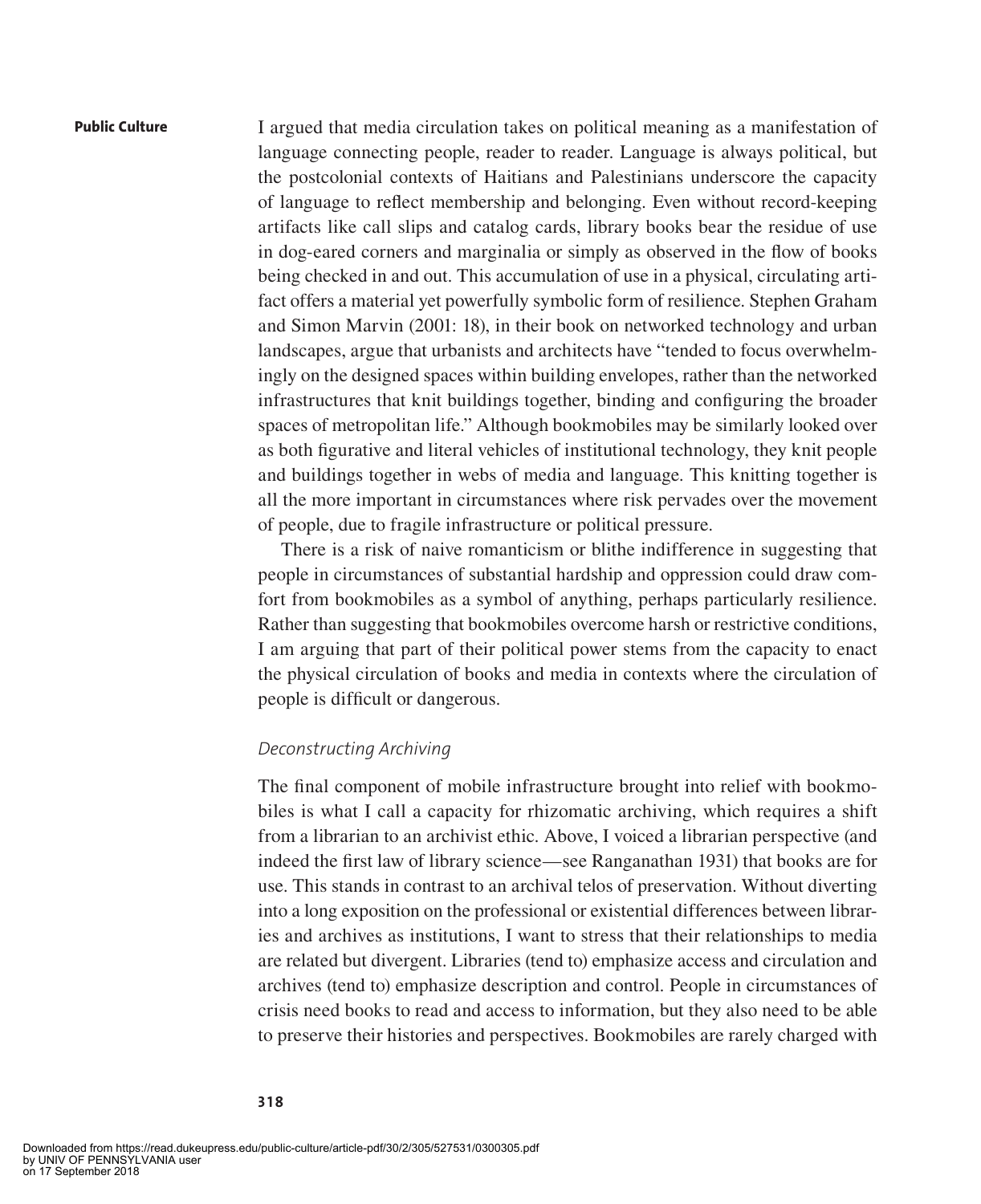I argued that media circulation takes on political meaning as a manifestation of language connecting people, reader to reader. Language is always political, but the postcolonial contexts of Haitians and Palestinians underscore the capacity of language to reflect membership and belonging. Even without record-keeping artifacts like call slips and catalog cards, library books bear the residue of use in dog-eared corners and marginalia or simply as observed in the flow of books being checked in and out. This accumulation of use in a physical, circulating artifact offers a material yet powerfully symbolic form of resilience. Stephen Graham and Simon Marvin (2001: 18), in their book on networked technology and urban landscapes, argue that urbanists and architects have "tended to focus overwhelmingly on the designed spaces within building envelopes, rather than the networked infrastructures that knit buildings together, binding and configuring the broader spaces of metropolitan life." Although bookmobiles may be similarly looked over as both gurative and literal vehicles of institutional technology, they knit people and buildings together in webs of media and language. This knitting together is all the more important in circumstances where risk pervades over the movement of people, due to fragile infrastructure or political pressure.

There is a risk of naive romanticism or blithe indifference in suggesting that people in circumstances of substantial hardship and oppression could draw comfort from bookmobiles as a symbol of anything, perhaps particularly resilience. Rather than suggesting that bookmobiles overcome harsh or restrictive conditions, I am arguing that part of their political power stems from the capacity to enact the physical circulation of books and media in contexts where the circulation of people is difficult or dangerous.

## *Deconstructing Archiving*

The final component of mobile infrastructure brought into relief with bookmobiles is what I call a capacity for rhizomatic archiving, which requires a shift from a librarian to an archivist ethic. Above, I voiced a librarian perspective (and indeed the first law of library science—see Ranganathan 1931) that books are for use. This stands in contrast to an archival telos of preservation. Without diverting into a long exposition on the professional or existential differences between libraries and archives as institutions, I want to stress that their relationships to media are related but divergent. Libraries (tend to) emphasize access and circulation and archives (tend to) emphasize description and control. People in circumstances of crisis need books to read and access to information, but they also need to be able to preserve their histories and perspectives. Bookmobiles are rarely charged with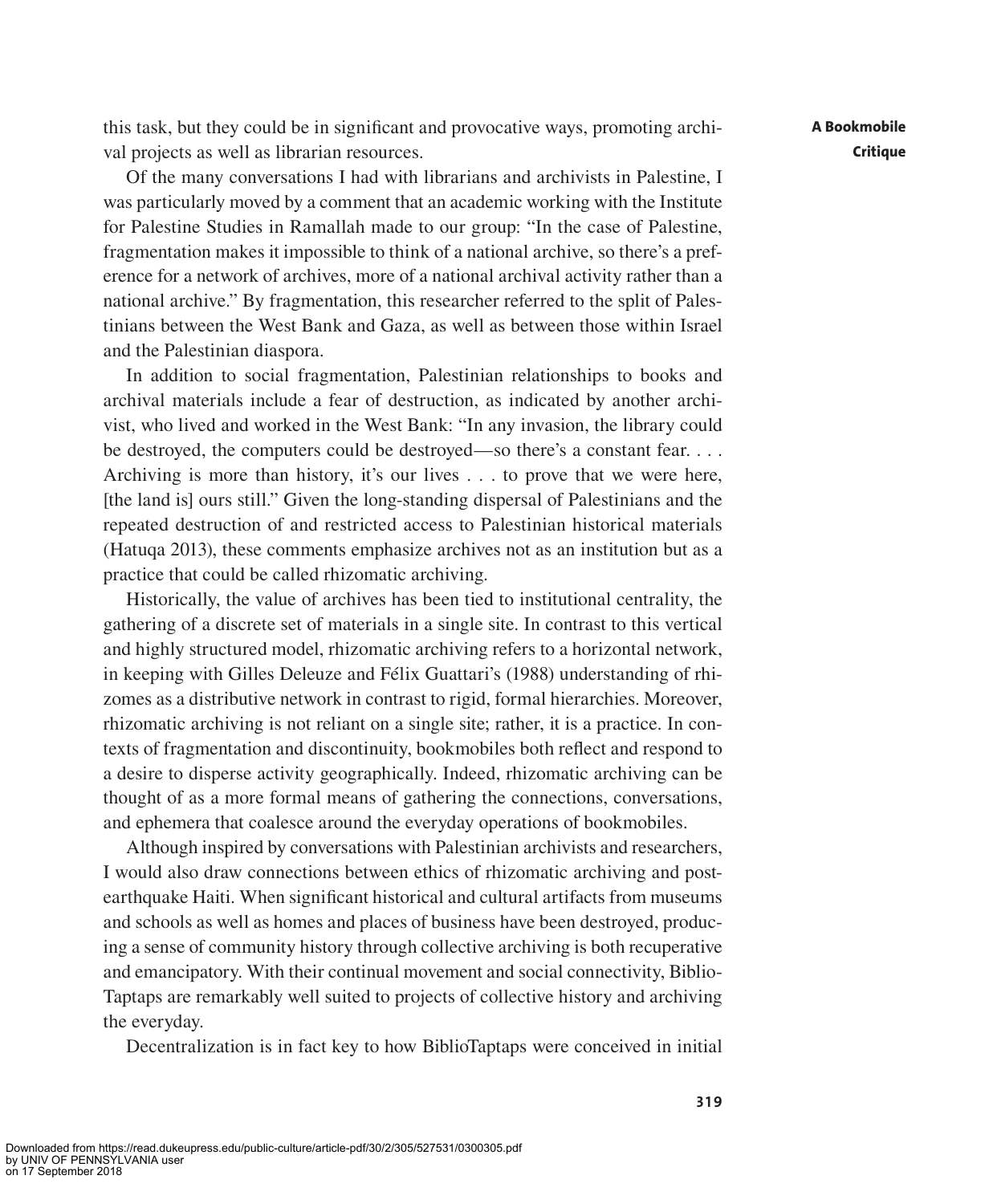this task, but they could be in signicant and provocative ways, promoting archival projects as well as librarian resources.

Of the many conversations I had with librarians and archivists in Palestine, I was particularly moved by a comment that an academic working with the Institute for Palestine Studies in Ramallah made to our group: "In the case of Palestine, fragmentation makes it impossible to think of a national archive, so there's a preference for a network of archives, more of a national archival activity rather than a national archive." By fragmentation, this researcher referred to the split of Palestinians between the West Bank and Gaza, as well as between those within Israel and the Palestinian diaspora.

In addition to social fragmentation, Palestinian relationships to books and archival materials include a fear of destruction, as indicated by another archivist, who lived and worked in the West Bank: "In any invasion, the library could be destroyed, the computers could be destroyed—so there's a constant fear. . . . Archiving is more than history, it's our lives . . . to prove that we were here, [the land is] ours still." Given the long-standing dispersal of Palestinians and the repeated destruction of and restricted access to Palestinian historical materials (Hatuqa 2013), these comments emphasize archives not as an institution but as a practice that could be called rhizomatic archiving.

Historically, the value of archives has been tied to institutional centrality, the gathering of a discrete set of materials in a single site. In contrast to this vertical and highly structured model, rhizomatic archiving refers to a horizontal network, in keeping with Gilles Deleuze and Félix Guattari's (1988) understanding of rhizomes as a distributive network in contrast to rigid, formal hierarchies. Moreover, rhizomatic archiving is not reliant on a single site; rather, it is a practice. In contexts of fragmentation and discontinuity, bookmobiles both reflect and respond to a desire to disperse activity geographically. Indeed, rhizomatic archiving can be thought of as a more formal means of gathering the connections, conversations, and ephemera that coalesce around the everyday operations of bookmobiles.

Although inspired by conversations with Palestinian archivists and researchers, I would also draw connections between ethics of rhizomatic archiving and postearthquake Haiti. When significant historical and cultural artifacts from museums and schools as well as homes and places of business have been destroyed, producing a sense of community history through collective archiving is both recuperative and emancipatory. With their continual movement and social connectivity, Biblio-Taptaps are remarkably well suited to projects of collective history and archiving the everyday.

Decentralization is in fact key to how BiblioTaptaps were conceived in initial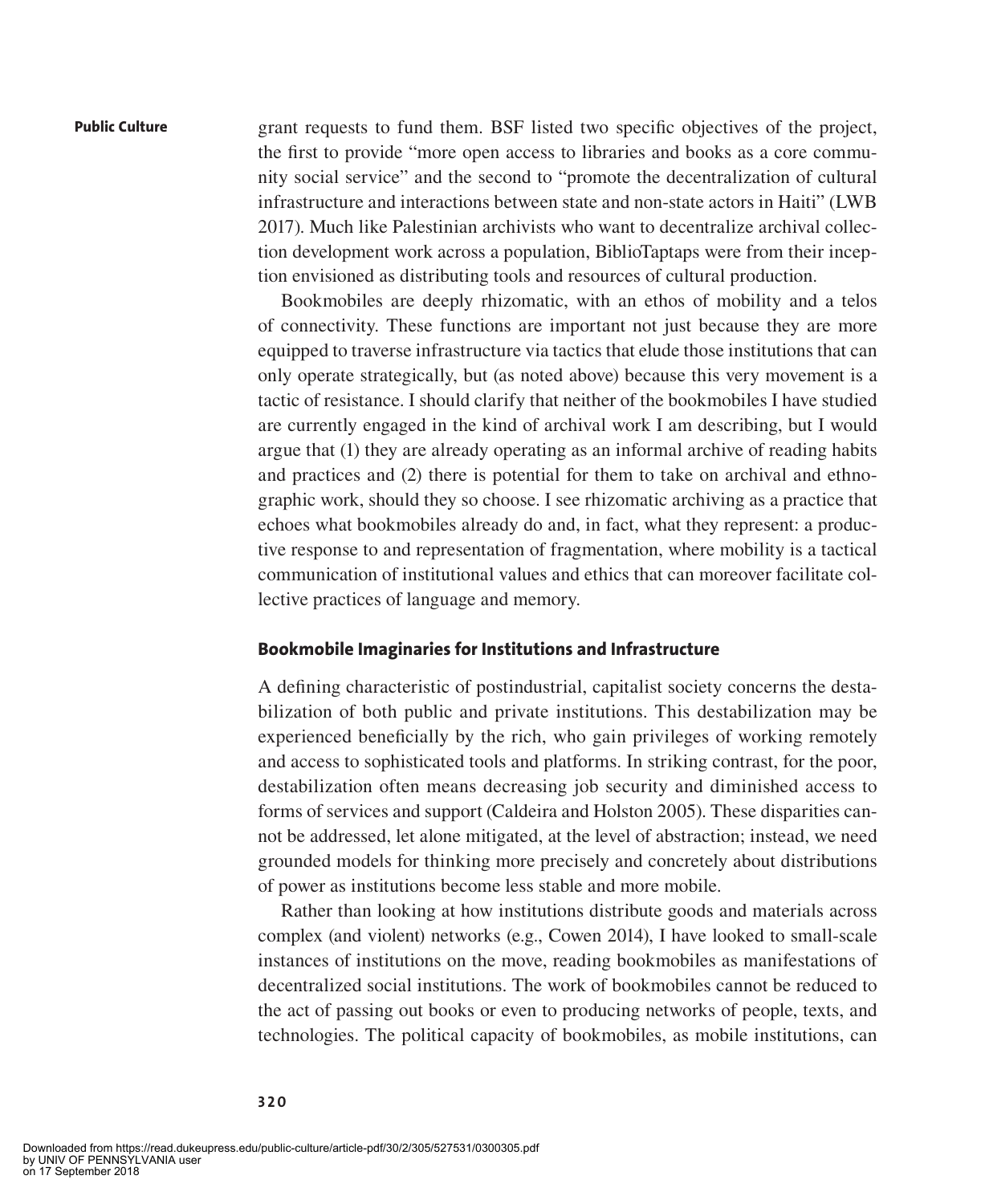grant requests to fund them. BSF listed two specific objectives of the project, the first to provide "more open access to libraries and books as a core community social service" and the second to "promote the decentralization of cultural infrastructure and interactions between state and non-state actors in Haiti" (LWB 2017). Much like Palestinian archivists who want to decentralize archival collection development work across a population, BiblioTaptaps were from their inception envisioned as distributing tools and resources of cultural production.

Bookmobiles are deeply rhizomatic, with an ethos of mobility and a telos of connectivity. These functions are important not just because they are more equipped to traverse infrastructure via tactics that elude those institutions that can only operate strategically, but (as noted above) because this very movement is a tactic of resistance. I should clarify that neither of the bookmobiles I have studied are currently engaged in the kind of archival work I am describing, but I would argue that (1) they are already operating as an informal archive of reading habits and practices and (2) there is potential for them to take on archival and ethnographic work, should they so choose. I see rhizomatic archiving as a practice that echoes what bookmobiles already do and, in fact, what they represent: a productive response to and representation of fragmentation, where mobility is a tactical communication of institutional values and ethics that can moreover facilitate collective practices of language and memory.

## **Bookmobile Imaginaries for Institutions and Infrastructure**

A defining characteristic of postindustrial, capitalist society concerns the destabilization of both public and private institutions. This destabilization may be experienced beneficially by the rich, who gain privileges of working remotely and access to sophisticated tools and platforms. In striking contrast, for the poor, destabilization often means decreasing job security and diminished access to forms of services and support (Caldeira and Holston 2005). These disparities cannot be addressed, let alone mitigated, at the level of abstraction; instead, we need grounded models for thinking more precisely and concretely about distributions of power as institutions become less stable and more mobile.

Rather than looking at how institutions distribute goods and materials across complex (and violent) networks (e.g., Cowen 2014), I have looked to small- scale instances of institutions on the move, reading bookmobiles as manifestations of decentralized social institutions. The work of bookmobiles cannot be reduced to the act of passing out books or even to producing networks of people, texts, and technologies. The political capacity of bookmobiles, as mobile institutions, can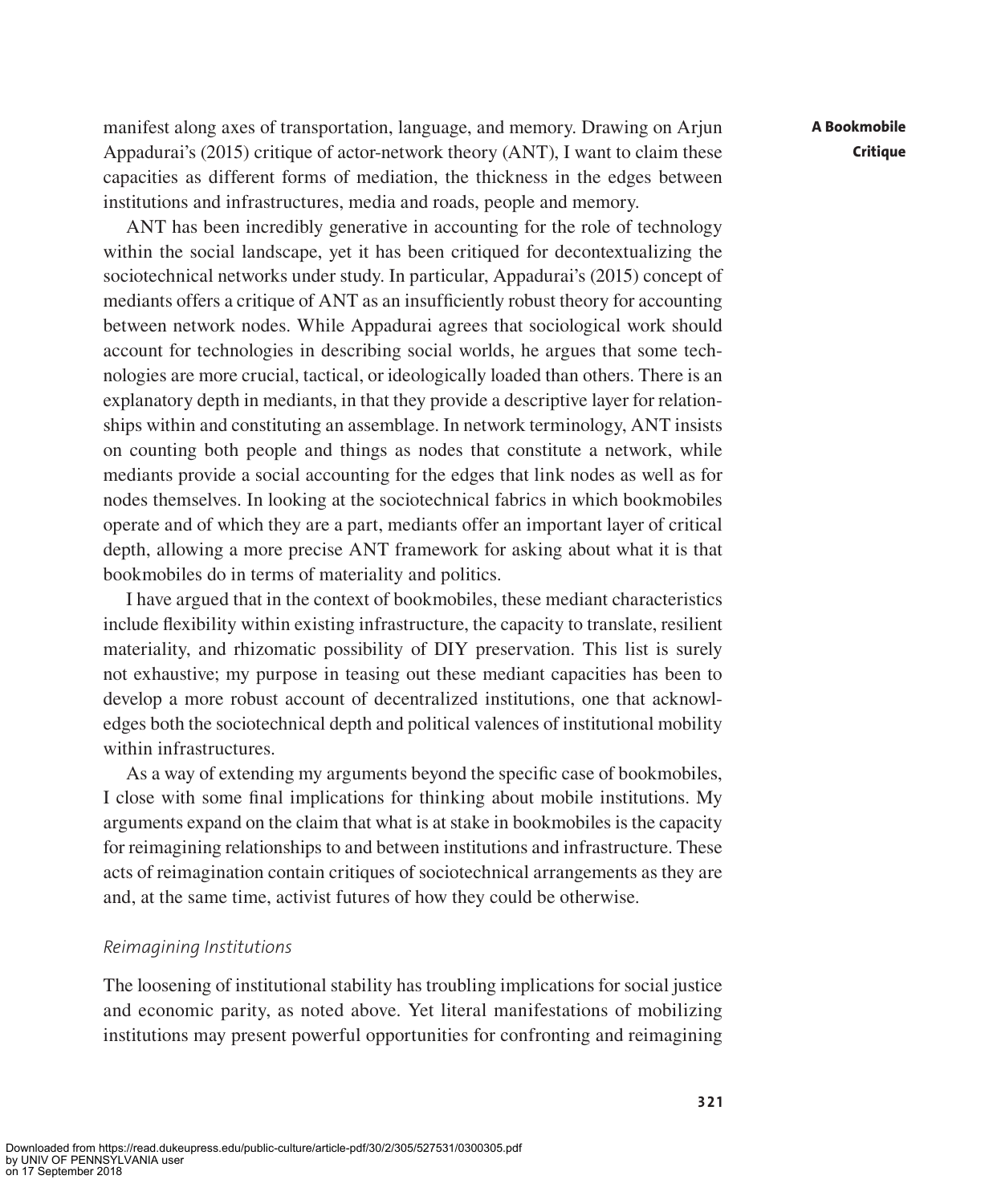manifest along axes of transportation, language, and memory. Drawing on Arjun Appadurai's (2015) critique of actor-network theory (ANT), I want to claim these capacities as different forms of mediation, the thickness in the edges between institutions and infrastructures, media and roads, people and memory.

ANT has been incredibly generative in accounting for the role of technology within the social landscape, yet it has been critiqued for decontextualizing the sociotechnical networks under study. In particular, Appadurai's (2015) concept of mediants offers a critique of ANT as an insufficiently robust theory for accounting between network nodes. While Appadurai agrees that sociological work should account for technologies in describing social worlds, he argues that some technologies are more crucial, tactical, or ideologically loaded than others. There is an explanatory depth in mediants, in that they provide a descriptive layer for relationships within and constituting an assemblage. In network terminology, ANT insists on counting both people and things as nodes that constitute a network, while mediants provide a social accounting for the edges that link nodes as well as for nodes themselves. In looking at the sociotechnical fabrics in which bookmobiles operate and of which they are a part, mediants offer an important layer of critical depth, allowing a more precise ANT framework for asking about what it is that bookmobiles do in terms of materiality and politics.

I have argued that in the context of bookmobiles, these mediant characteristics include flexibility within existing infrastructure, the capacity to translate, resilient materiality, and rhizomatic possibility of DIY preservation. This list is surely not exhaustive; my purpose in teasing out these mediant capacities has been to develop a more robust account of decentralized institutions, one that acknowledges both the sociotechnical depth and political valences of institutional mobility within infrastructures.

As a way of extending my arguments beyond the specific case of bookmobiles, I close with some final implications for thinking about mobile institutions. My arguments expand on the claim that what is at stake in bookmobiles is the capacity for reimagining relationships to and between institutions and infrastructure. These acts of reimagination contain critiques of sociotechnical arrangements as they are and, at the same time, activist futures of how they could be otherwise.

## *Reimagining Institutions*

The loosening of institutional stability has troubling implications for social justice and economic parity, as noted above. Yet literal manifestations of mobilizing institutions may present powerful opportunities for confronting and reimagining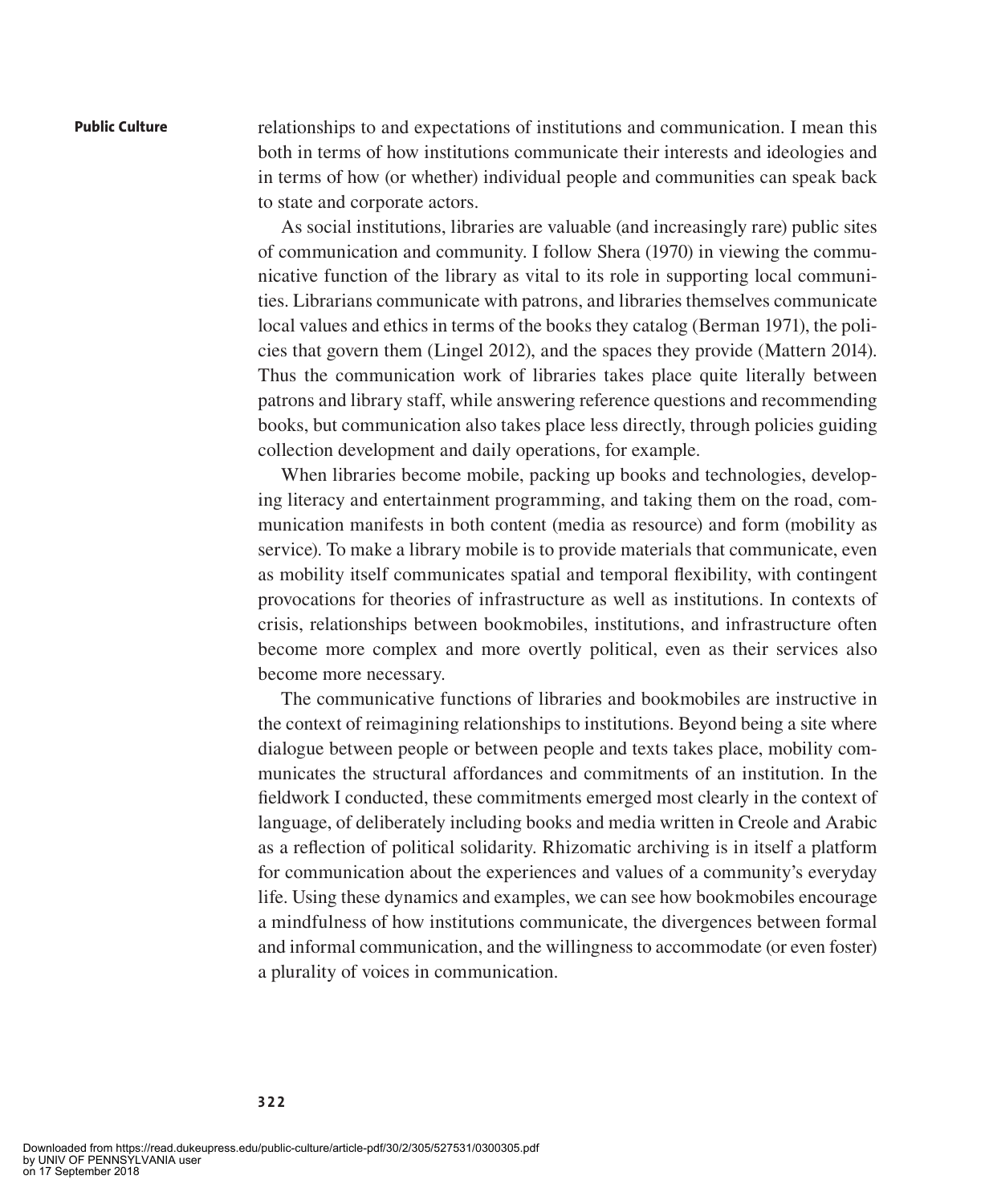relationships to and expectations of institutions and communication. I mean this both in terms of how institutions communicate their interests and ideologies and in terms of how (or whether) individual people and communities can speak back to state and corporate actors.

As social institutions, libraries are valuable (and increasingly rare) public sites of communication and community. I follow Shera (1970) in viewing the communicative function of the library as vital to its role in supporting local communities. Librarians communicate with patrons, and libraries themselves communicate local values and ethics in terms of the books they catalog (Berman 1971), the policies that govern them (Lingel 2012), and the spaces they provide (Mattern 2014). Thus the communication work of libraries takes place quite literally between patrons and library staff, while answering reference questions and recommending books, but communication also takes place less directly, through policies guiding collection development and daily operations, for example.

When libraries become mobile, packing up books and technologies, developing literacy and entertainment programming, and taking them on the road, communication manifests in both content (media as resource) and form (mobility as service). To make a library mobile is to provide materials that communicate, even as mobility itself communicates spatial and temporal flexibility, with contingent provocations for theories of infrastructure as well as institutions. In contexts of crisis, relationships between bookmobiles, institutions, and infrastructure often become more complex and more overtly political, even as their services also become more necessary.

The communicative functions of libraries and bookmobiles are instructive in the context of reimagining relationships to institutions. Beyond being a site where dialogue between people or between people and texts takes place, mobility communicates the structural affordances and commitments of an institution. In the fieldwork I conducted, these commitments emerged most clearly in the context of language, of deliberately including books and media written in Creole and Arabic as a reflection of political solidarity. Rhizomatic archiving is in itself a platform for communication about the experiences and values of a community's everyday life. Using these dynamics and examples, we can see how bookmobiles encourage a mindfulness of how institutions communicate, the divergences between formal and informal communication, and the willingness to accommodate (or even foster) a plurality of voices in communication.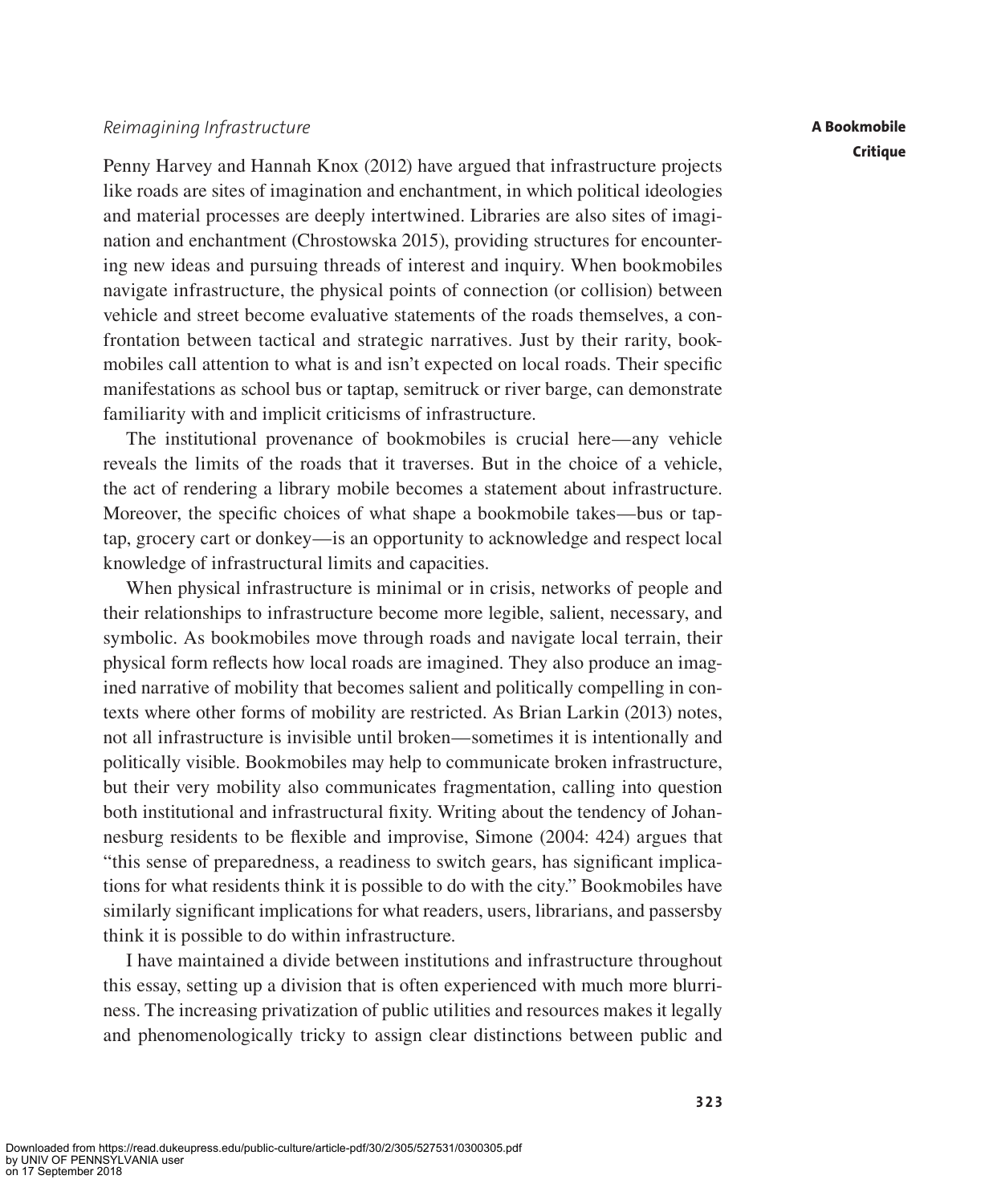# *Reimagining Infrastructure*

Penny Harvey and Hannah Knox (2012) have argued that infrastructure projects like roads are sites of imagination and enchantment, in which political ideologies and material processes are deeply intertwined. Libraries are also sites of imagination and enchantment (Chrostowska 2015), providing structures for encountering new ideas and pursuing threads of interest and inquiry. When bookmobiles navigate infrastructure, the physical points of connection (or collision) between vehicle and street become evaluative statements of the roads themselves, a confrontation between tactical and strategic narratives. Just by their rarity, bookmobiles call attention to what is and isn't expected on local roads. Their specific manifestations as school bus or taptap, semitruck or river barge, can demonstrate familiarity with and implicit criticisms of infrastructure.

The institutional provenance of bookmobiles is crucial here—any vehicle reveals the limits of the roads that it traverses. But in the choice of a vehicle, the act of rendering a library mobile becomes a statement about infrastructure. Moreover, the specific choices of what shape a bookmobile takes—bus or taptap, grocery cart or donkey — is an opportunity to acknowledge and respect local knowledge of infrastructural limits and capacities.

When physical infrastructure is minimal or in crisis, networks of people and their relationships to infrastructure become more legible, salient, necessary, and symbolic. As bookmobiles move through roads and navigate local terrain, their physical form reflects how local roads are imagined. They also produce an imagined narrative of mobility that becomes salient and politically compelling in contexts where other forms of mobility are restricted. As Brian Larkin (2013) notes, not all infrastructure is invisible until broken — sometimes it is intentionally and politically visible. Bookmobiles may help to communicate broken infrastructure, but their very mobility also communicates fragmentation, calling into question both institutional and infrastructural fixity. Writing about the tendency of Johannesburg residents to be flexible and improvise, Simone (2004: 424) argues that "this sense of preparedness, a readiness to switch gears, has signicant implications for what residents think it is possible to do with the city." Bookmobiles have similarly significant implications for what readers, users, librarians, and passersby think it is possible to do within infrastructure.

I have maintained a divide between institutions and infrastructure throughout this essay, setting up a division that is often experienced with much more blurriness. The increasing privatization of public utilities and resources makes it legally and phenomenologically tricky to assign clear distinctions between public and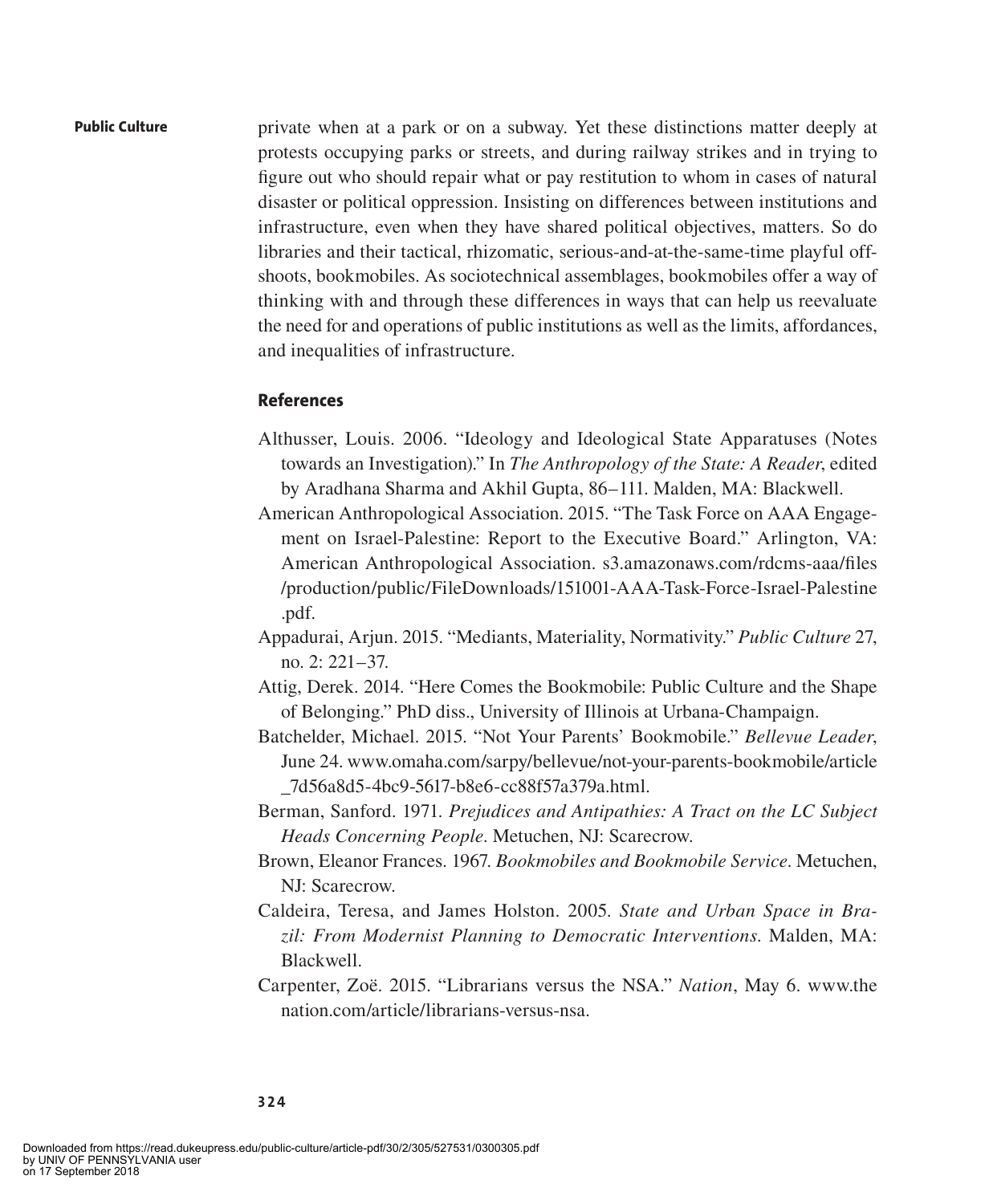private when at a park or on a subway. Yet these distinctions matter deeply at protests occupying parks or streets, and during railway strikes and in trying to figure out who should repair what or pay restitution to whom in cases of natural disaster or political oppression. Insisting on differences between institutions and infrastructure, even when they have shared political objectives, matters. So do libraries and their tactical, rhizomatic, serious-and-at- the- same-time playful offshoots, bookmobiles. As sociotechnical assemblages, bookmobiles offer a way of thinking with and through these differences in ways that can help us reevaluate the need for and operations of public institutions as well as the limits, affordances, and inequalities of infrastructure.

## **References**

- Althusser, Louis. 2006. "Ideology and Ideological State Apparatuses (Notes towards an Investigation)." In *The Anthropology of the State: A Reader*, edited by Aradhana Sharma and Akhil Gupta, 86–111. Malden, MA: Blackwell.
- American Anthropological Association. 2015. "The Task Force on AAA Engagement on Israel-Palestine: Report to the Executive Board." Arlington, VA: American Anthropological Association. s3.amazonaws.com/rdcms-aaa/files /production/public/FileDownloads/151001-AAA-Task-Force-Israel-Palestine .pdf.
- Appadurai, Arjun. 2015. "Mediants, Materiality, Normativity." *Public Culture* 27, no. 2: 221 – 37.
- Attig, Derek. 2014. "Here Comes the Bookmobile: Public Culture and the Shape of Belonging." PhD diss., University of Illinois at Urbana-Champaign.
- Batchelder, Michael. 2015. "Not Your Parents' Bookmobile." *Bellevue Leader*, June 24. www.omaha.com/sarpy/bellevue/not-your-parents-bookmobile/article \_7d56a8d5-4bc9-5617-b8e6-cc88f57a379a.html.
- Berman, Sanford. 1971. *Prejudices and Antipathies: A Tract on the LC Subject Heads Concerning People*. Metuchen, NJ: Scarecrow.
- Brown, Eleanor Frances. 1967. *Bookmobiles and Bookmobile Service*. Metuchen, NJ: Scarecrow.
- Caldeira, Teresa, and James Holston. 2005. *State and Urban Space in Brazil: From Modernist Planning to Democratic Interventions*. Malden, MA: Blackwell.
- Carpenter, Zoë. 2015. "Librarians versus the NSA." *Nation*, May 6. www.the nation.com/article/librarians- versus- nsa.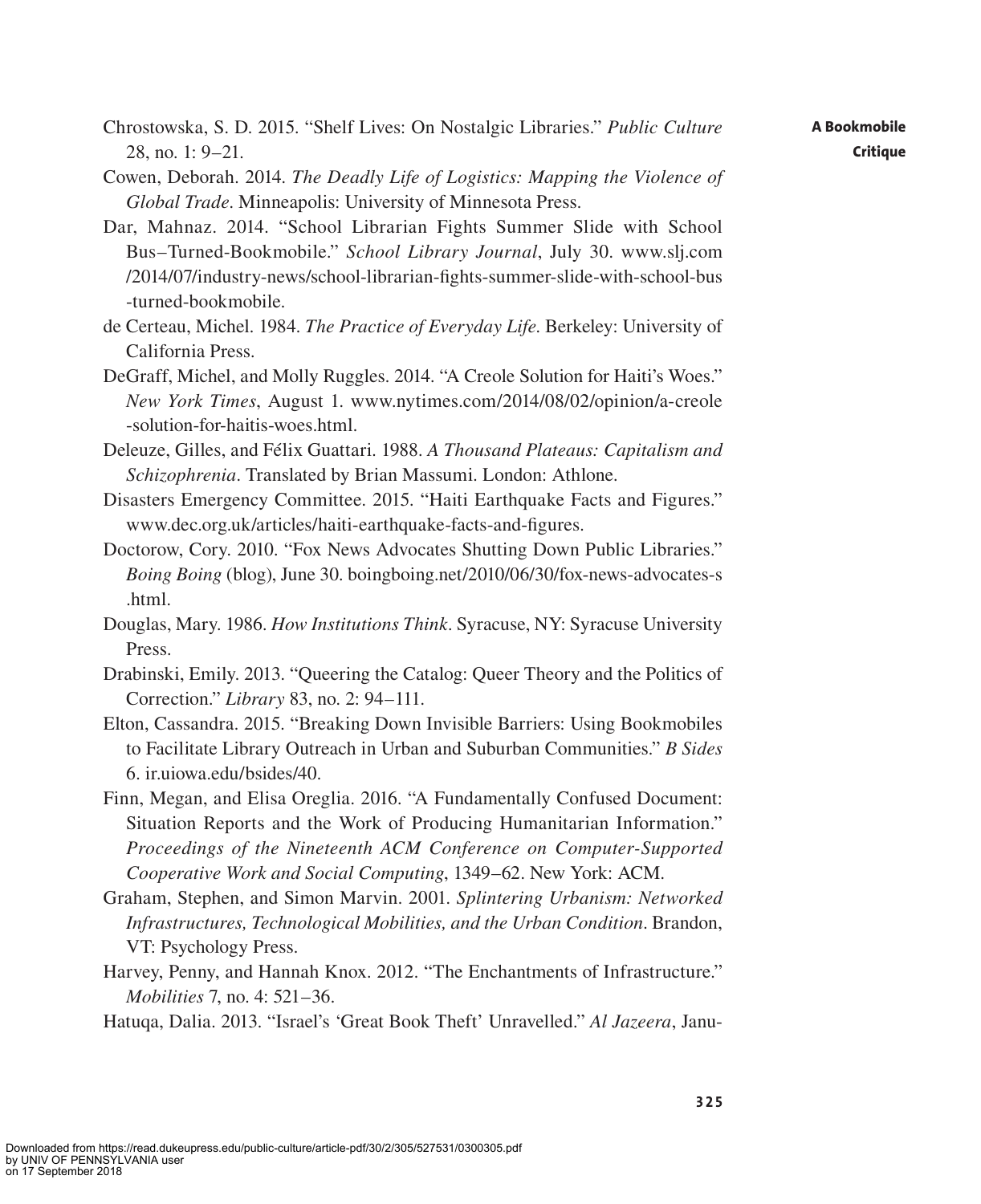- Chrostowska, S. D. 2015. "Shelf Lives: On Nostalgic Libraries." *Public Culture* 28, no. 1: 9–21.
- Cowen, Deborah. 2014. *The Deadly Life of Logistics: Mapping the Violence of Global Trade*. Minneapolis: University of Minnesota Press.
- Dar, Mahnaz. 2014. "School Librarian Fights Summer Slide with School Bus – Turned-Bookmobile." *School Library Journal*, July 30. www.slj.com /2014/07/industry-news/school-librarian-ghts-summer-slide-with-school-bus -turned-bookmobile.
- de Certeau, Michel. 1984. *The Practice of Everyday Life*. Berkeley: University of California Press.
- DeGraff, Michel, and Molly Ruggles. 2014. "A Creole Solution for Haiti's Woes." *New York Times*, August 1. www.nytimes.com/2014/08/02/opinion/a-creole - solution-for-haitis-woes.html.
- Deleuze, Gilles, and Félix Guattari. 1988. *A Thousand Plateaus: Capitalism and Schizophrenia*. Translated by Brian Massumi. London: Athlone.
- Disasters Emergency Committee. 2015. "Haiti Earthquake Facts and Figures." www.dec.org.uk/articles/haiti-earthquake-facts-and-figures.
- Doctorow, Cory. 2010. "Fox News Advocates Shutting Down Public Libraries." *Boing Boing* (blog), June 30. boingboing.net/2010/06/30/fox-news-advocates-s .html.
- Douglas, Mary. 1986. *How Institutions Think*. Syracuse, NY: Syracuse University Press.
- Drabinski, Emily. 2013. "Queering the Catalog: Queer Theory and the Politics of Correction." *Library* 83, no. 2: 94 – 111.
- Elton, Cassandra. 2015. "Breaking Down Invisible Barriers: Using Bookmobiles to Facilitate Library Outreach in Urban and Suburban Communities." *B Sides*  6. ir.uiowa.edu/bsides/40.
- Finn, Megan, and Elisa Oreglia. 2016. "A Fundamentally Confused Document: Situation Reports and the Work of Producing Humanitarian Information." *Proceedings of the Nineteenth ACM Conference on Computer- Supported Cooperative Work and Social Computing*, 1349–62. New York: ACM.
- Graham, Stephen, and Simon Marvin. 2001. *Splintering Urbanism: Networked Infrastructures, Technological Mobilities, and the Urban Condition*. Brandon, VT: Psychology Press.
- Harvey, Penny, and Hannah Knox. 2012. "The Enchantments of Infrastructure." *Mobilities* 7, no. 4: 521-36.

Hatuqa, Dalia. 2013. "Israel's 'Great Book Theft' Unravelled." *Al Jazeera*, Janu-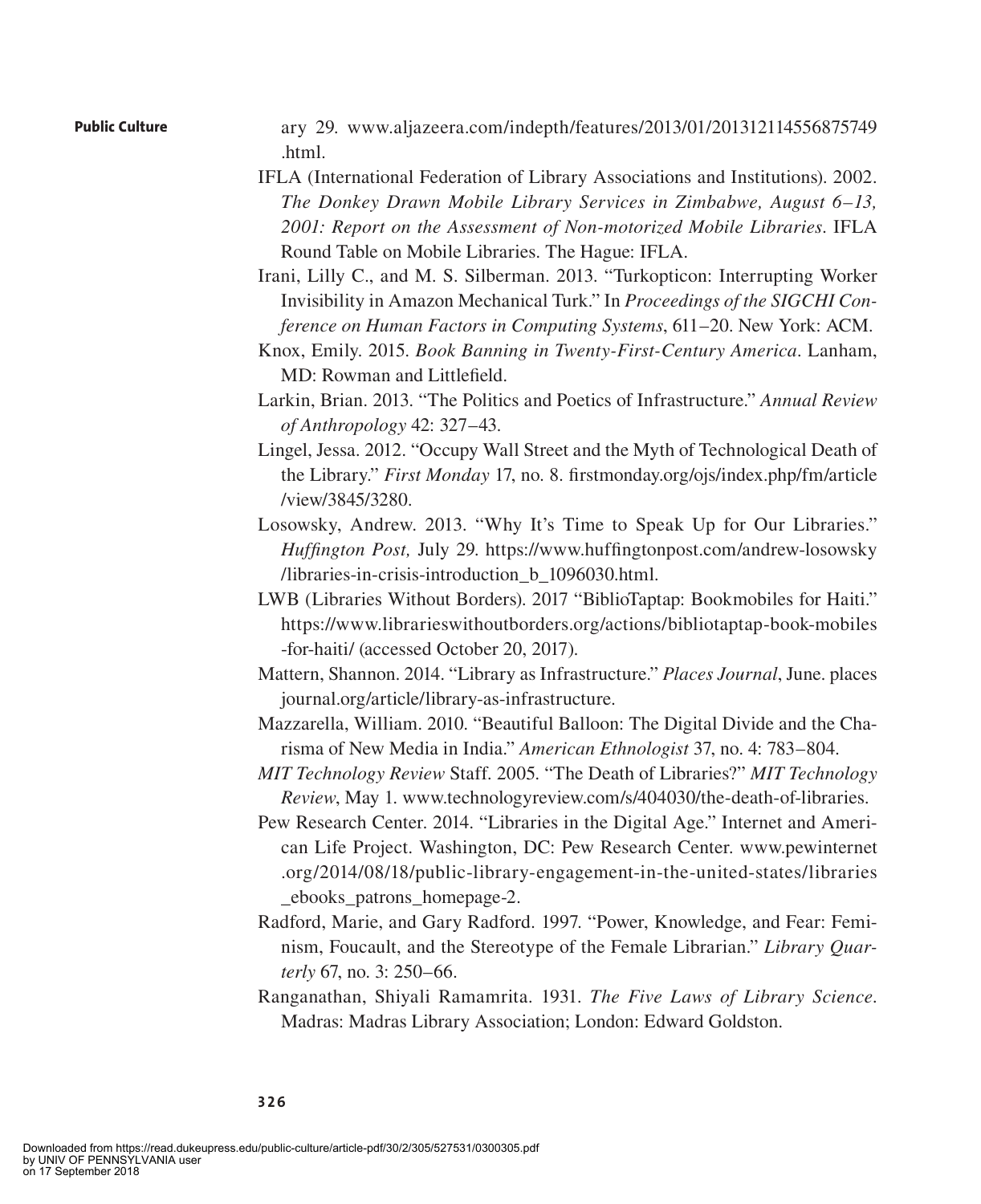- ary 29. www.aljazeera.com/indepth/features/2013/01/201312114556875749 .html.
- IFLA (International Federation of Library Associations and Institutions). 2002. *The Donkey Drawn Mobile Library Services in Zimbabwe, August 6 – 13, 2001: Report on the Assessment of Non-motorized Mobile Libraries*. IFLA Round Table on Mobile Libraries. The Hague: IFLA.
- Irani, Lilly C., and M. S. Silberman. 2013. "Turkopticon: Interrupting Worker Invisibility in Amazon Mechanical Turk." In *Proceedings of the SIGCHI Conference on Human Factors in Computing Systems*, 611–20. New York: ACM.
- Knox, Emily. 2015. *Book Banning in Twenty-First-Century America*. Lanham, MD: Rowman and Littlefield.
- Larkin, Brian. 2013. "The Politics and Poetics of Infrastructure." *Annual Review of Anthropology* 42: 327 – 43.
- Lingel, Jessa. 2012. "Occupy Wall Street and the Myth of Technological Death of the Library." *First Monday* 17, no. 8. firstmonday.org/ojs/index.php/fm/article /view/3845/3280.
- Losowsky, Andrew. 2013. "Why It's Time to Speak Up for Our Libraries." *Huffington Post, July 29. https://www.huffingtonpost.com/andrew-losowsky* /libraries- in-crisis-introduction\_b\_1096030.html.
- LWB (Libraries Without Borders). 2017 "BiblioTaptap: Bookmobiles for Haiti." https://www.librarieswithoutborders.org/actions/bibliotaptap-book-mobiles - for-haiti/ (accessed October 20, 2017).
- Mattern, Shannon. 2014. "Library as Infrastructure." *Places Journal*, June. places journal.org/article/library-as-infrastructure.
- Mazzarella, William. 2010. "Beautiful Balloon: The Digital Divide and the Charisma of New Media in India." *American Ethnologist* 37, no. 4: 783 – 804.
- *MIT Technology Review* Staff. 2005. "The Death of Libraries?" *MIT Technology Review*, May 1. www.technologyreview.com/s/404030/the-death-of-libraries.
- Pew Research Center. 2014. "Libraries in the Digital Age." Internet and American Life Project. Washington, DC: Pew Research Center. www.pewinternet .org/2014/08/18/public-library-engagement-in-the-united-states/libraries \_ebooks\_patrons\_homepage- 2.
- Radford, Marie, and Gary Radford. 1997. "Power, Knowledge, and Fear: Feminism, Foucault, and the Stereotype of the Female Librarian." *Library Quarterly* 67, no. 3: 250–66.
- Ranganathan, Shiyali Ramamrita. 1931. *The Five Laws of Library Science*. Madras: Madras Library Association; London: Edward Goldston.